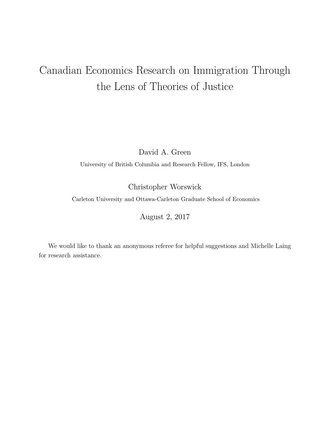# Canadian Economics Research on Immigration Through the Lens of Theories of Justice

David A. Green

University of British Columbia and Research Fellow, IFS, London

Christopher Worswick

Carleton University and Ottawa-Carleton Graduate School of Economics

August 2, 2017

We would like to thank an anonymous referee for helpful suggestions and Michelle Laing for research assistance.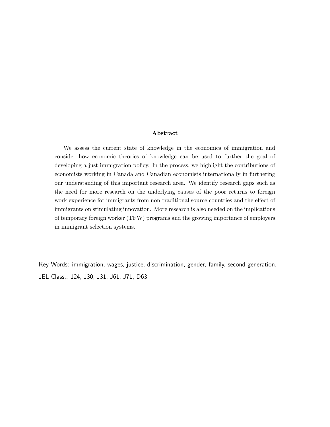#### Abstract

We assess the current state of knowledge in the economics of immigration and consider how economic theories of knowledge can be used to further the goal of developing a just immigration policy. In the process, we highlight the contributions of economists working in Canada and Canadian economists internationally in furthering our understanding of this important research area. We identify research gaps such as the need for more research on the underlying causes of the poor returns to foreign work experience for immigrants from non-traditional source countries and the effect of immigrants on stimulating innovation. More research is also needed on the implications of temporary foreign worker (TFW) programs and the growing importance of employers in immigrant selection systems.

Key Words: immigration, wages, justice, discrimination, gender, family, second generation. JEL Class.: J24, J30, J31, J61, J71, D63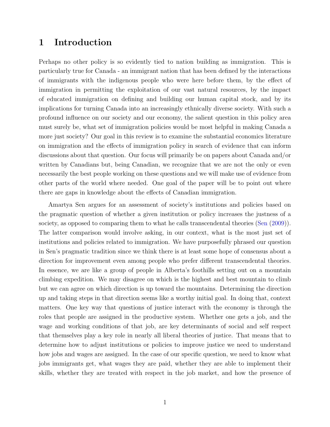## 1 Introduction

Perhaps no other policy is so evidently tied to nation building as immigration. This is particularly true for Canada - an immigrant nation that has been defined by the interactions of immigrants with the indigenous people who were here before them, by the effect of immigration in permitting the exploitation of our vast natural resources, by the impact of educated immigration on defining and building our human capital stock, and by its implications for turning Canada into an increasingly ethnically diverse society. With such a profound influence on our society and our economy, the salient question in this policy area must surely be, what set of immigration policies would be most helpful in making Canada a more just society? Our goal in this review is to examine the substantial economics literature on immigration and the effects of immigration policy in search of evidence that can inform discussions about that question. Our focus will primarily be on papers about Canada and/or written by Canadians but, being Canadian, we recognize that we are not the only or even necessarily the best people working on these questions and we will make use of evidence from other parts of the world where needed. One goal of the paper will be to point out where there are gaps in knowledge about the effects of Canadian immigration.

Amartya Sen argues for an assessment of society's institutions and policies based on the pragmatic question of whether a given institution or policy increases the justness of a society, as opposed to comparing them to what he calls transcendental theories [\(Sen](#page-48-0)  $(2009)$ ). The latter comparison would involve asking, in our context, what is the most just set of institutions and policies related to immigration. We have purposefully phrased our question in Sen's pragmatic tradition since we think there is at least some hope of consensus about a direction for improvement even among people who prefer different transcendental theories. In essence, we are like a group of people in Alberta's foothills setting out on a mountain climbing expedition. We may disagree on which is the highest and best mountain to climb but we can agree on which direction is up toward the mountains. Determining the direction up and taking steps in that direction seems like a worthy initial goal. In doing that, context matters. One key way that questions of justice interact with the economy is through the roles that people are assigned in the productive system. Whether one gets a job, and the wage and working conditions of that job, are key determinants of social and self respect that themselves play a key role in nearly all liberal theories of justice. That means that to determine how to adjust institutions or policies to improve justice we need to understand how jobs and wages are assigned. In the case of our specific question, we need to know what jobs immigrants get, what wages they are paid, whether they are able to implement their skills, whether they are treated with respect in the job market, and how the presence of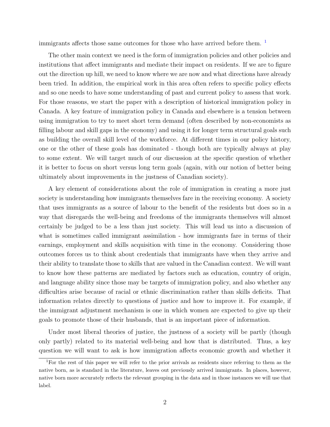immigrants affects those same outcomes for those who have arrived before them. <sup>[1](#page-3-0)</sup>

The other main context we need is the form of immigration policies and other policies and institutions that affect immigrants and mediate their impact on residents. If we are to figure out the direction up hill, we need to know where we are now and what directions have already been tried. In addition, the empirical work in this area often refers to specific policy effects and so one needs to have some understanding of past and current policy to assess that work. For those reasons, we start the paper with a description of historical immigration policy in Canada. A key feature of immigration policy in Canada and elsewhere is a tension between using immigration to try to meet short term demand (often described by non-economists as filling labour and skill gaps in the economy) and using it for longer term structural goals such as building the overall skill level of the workforce. At different times in our policy history, one or the other of these goals has dominated - though both are typically always at play to some extent. We will target much of our discussion at the specific question of whether it is better to focus on short versus long term goals (again, with our notion of better being ultimately about improvements in the justness of Canadian society).

A key element of considerations about the role of immigration in creating a more just society is understanding how immigrants themselves fare in the receiving economy. A society that uses immigrants as a source of labour to the benefit of the residents but does so in a way that disregards the well-being and freedoms of the immigrants themselves will almost certainly be judged to be a less than just society. This will lead us into a discussion of what is sometimes called immigrant assimilation - how immigrants fare in terms of their earnings, employment and skills acquisition with time in the economy. Considering those outcomes forces us to think about credentials that immigrants have when they arrive and their ability to translate those to skills that are valued in the Canadian context. We will want to know how these patterns are mediated by factors such as education, country of origin, and language ability since those may be targets of immigration policy, and also whether any difficulties arise because of racial or ethnic discrimination rather than skills deficits. That information relates directly to questions of justice and how to improve it. For example, if the immigrant adjustment mechanism is one in which women are expected to give up their goals to promote those of their husbands, that is an important piece of information.

Under most liberal theories of justice, the justness of a society will be partly (though only partly) related to its material well-being and how that is distributed. Thus, a key question we will want to ask is how immigration affects economic growth and whether it

<span id="page-3-0"></span><sup>1</sup>For the rest of this paper we will refer to the prior arrivals as residents since referring to them as the native born, as is standard in the literature, leaves out previously arrived immigrants. In places, however, native born more accurately reflects the relevant grouping in the data and in those instances we will use that label.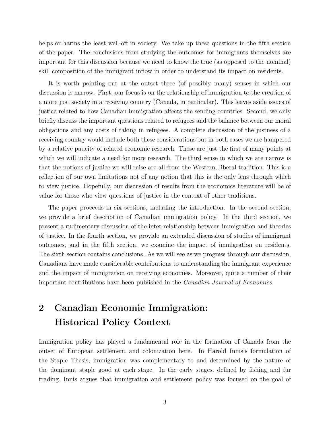helps or harms the least well-off in society. We take up these questions in the fifth section of the paper. The conclusions from studying the outcomes for immigrants themselves are important for this discussion because we need to know the true (as opposed to the nominal) skill composition of the immigrant inflow in order to understand its impact on residents.

It is worth pointing out at the outset three (of possibly many) senses in which our discussion is narrow. First, our focus is on the relationship of immigration to the creation of a more just society in a receiving country (Canada, in particular). This leaves aside issues of justice related to how Canadian immigration affects the sending countries. Second, we only briefly discuss the important questions related to refugees and the balance between our moral obligations and any costs of taking in refugees. A complete discussion of the justness of a receiving country would include both these considerations but in both cases we are hampered by a relative paucity of related economic research. These are just the first of many points at which we will indicate a need for more research. The third sense in which we are narrow is that the notions of justice we will raise are all from the Western, liberal tradition. This is a reflection of our own limitations not of any notion that this is the only lens through which to view justice. Hopefully, our discussion of results from the economics literature will be of value for those who view questions of justice in the context of other traditions.

The paper proceeds in six sections, including the introduction. In the second section, we provide a brief description of Canadian immigration policy. In the third section, we present a rudimentary discussion of the inter-relationship between immigration and theories of justice. In the fourth section, we provide an extended discussion of studies of immigrant outcomes, and in the fifth section, we examine the impact of immigration on residents. The sixth section contains conclusions. As we will see as we progress through our discussion, Canadians have made considerable contributions to understanding the immigrant experience and the impact of immigration on receiving economies. Moreover, quite a number of their important contributions have been published in the Canadian Journal of Economics.

## 2 Canadian Economic Immigration: Historical Policy Context

Immigration policy has played a fundamental role in the formation of Canada from the outset of European settlement and colonization here. In Harold Innis's formulation of the Staple Thesis, immigration was complementary to and determined by the nature of the dominant staple good at each stage. In the early stages, defined by fishing and fur trading, Innis argues that immigration and settlement policy was focused on the goal of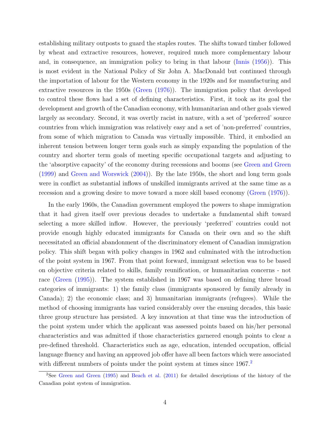establishing military outposts to guard the staples routes. The shifts toward timber followed by wheat and extractive resources, however, required much more complementary labour and, in consequence, an immigration policy to bring in that labour [\(Innis](#page-46-0) [\(1956\)](#page-46-0)). This is most evident in the National Policy of Sir John A. MacDonald but continued through the importation of labour for the Western economy in the 1920s and for manufacturing and extractive resources in the 1950s [\(Green](#page-44-0) [\(1976\)](#page-44-0)). The immigration policy that developed to control these flows had a set of defining characteristics. First, it took as its goal the development and growth of the Canadian economy, with humanitarian and other goals viewed largely as secondary. Second, it was overtly racist in nature, with a set of 'preferred' source countries from which immigration was relatively easy and a set of 'non-preferred' countries, from some of which migration to Canada was virtually impossible. Third, it embodied an inherent tension between longer term goals such as simply expanding the population of the country and shorter term goals of meeting specific occupational targets and adjusting to the 'absorptive capacity' of the economy during recessions and booms (see [Green and Green](#page-45-0) [\(1999\)](#page-45-0) and [Green and Worswick](#page-45-1) [\(2004\)](#page-45-1)). By the late 1950s, the short and long term goals were in conflict as substantial inflows of unskilled immigrants arrived at the same time as a recession and a growing desire to move toward a more skill based economy [\(Green](#page-44-0) [\(1976\)](#page-44-0)).

In the early 1960s, the Canadian government employed the powers to shape immigration that it had given itself over previous decades to undertake a fundamental shift toward selecting a more skilled inflow. However, the previously 'preferred' countries could not provide enough highly educated immigrants for Canada on their own and so the shift necessitated an official abandonment of the discriminatory element of Canadian immigration policy. This shift began with policy changes in 1962 and culminated with the introduction of the point system in 1967. From that point forward, immigrant selection was to be based on objective criteria related to skills, family reunification, or humanitarian concerns - not race [\(Green](#page-44-1) [\(1995\)](#page-44-1)). The system established in 1967 was based on defining three broad categories of immigrants: 1) the family class (immigrants sponsored by family already in Canada); 2) the economic class; and 3) humanitarian immigrants (refugees). While the method of choosing immigrants has varied considerably over the ensuing decades, this basic three group structure has persisted. A key innovation at that time was the introduction of the point system under which the applicant was assessed points based on his/her personal characteristics and was admitted if those characteristics garnered enough points to clear a pre-defined threshold. Characteristics such as age, education, intended occupation, official language fluency and having an approved job offer have all been factors which were associated with different numbers of points under the point system at times since 1967.<sup>[2](#page-5-0)</sup>

<span id="page-5-0"></span><sup>&</sup>lt;sup>2</sup>See [Green and Green](#page-44-2) [\(1995\)](#page-44-2) and [Beach et al.](#page-42-0) [\(2011\)](#page-42-0) for detailed descriptions of the history of the Canadian point system of immigration.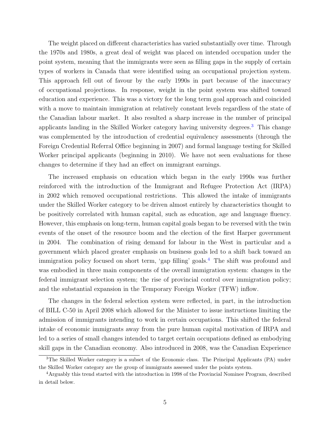The weight placed on different characteristics has varied substantially over time. Through the 1970s and 1980s, a great deal of weight was placed on intended occupation under the point system, meaning that the immigrants were seen as filling gaps in the supply of certain types of workers in Canada that were identified using an occupational projection system. This approach fell out of favour by the early 1990s in part because of the inaccuracy of occupational projections. In response, weight in the point system was shifted toward education and experience. This was a victory for the long term goal approach and coincided with a move to maintain immigration at relatively constant levels regardless of the state of the Canadian labour market. It also resulted a sharp increase in the number of principal applicants landing in the Skilled Worker category having university degrees.[3](#page-6-0) This change was complemented by the introduction of credential equivalency assessments (through the Foreign Credential Referral Office beginning in 2007) and formal language testing for Skilled Worker principal applicants (beginning in 2010). We have not seen evaluations for these changes to determine if they had an effect on immigrant earnings.

The increased emphasis on education which began in the early 1990s was further reinforced with the introduction of the Immigrant and Refugee Protection Act (IRPA) in 2002 which removed occupational restrictions. This allowed the intake of immigrants under the Skilled Worker category to be driven almost entirely by characteristics thought to be positively correlated with human capital, such as education, age and language fluency. However, this emphasis on long-term, human capital goals began to be reversed with the twin events of the onset of the resource boom and the election of the first Harper government in 2004. The combination of rising demand for labour in the West in particular and a government which placed greater emphasis on business goals led to a shift back toward an immigration policy focused on short term, 'gap filling' goals.<sup>[4](#page-6-1)</sup> The shift was profound and was embodied in three main components of the overall immigration system: changes in the federal immigrant selection system; the rise of provincial control over immigration policy; and the substantial expansion in the Temporary Foreign Worker (TFW) inflow.

The changes in the federal selection system were reflected, in part, in the introduction of BILL C-50 in April 2008 which allowed for the Minister to issue instructions limiting the admission of immigrants intending to work in certain occupations. This shifted the federal intake of economic immigrants away from the pure human capital motivation of IRPA and led to a series of small changes intended to target certain occupations defined as embodying skill gaps in the Canadian economy. Also introduced in 2008, was the Canadian Experience

<span id="page-6-0"></span><sup>&</sup>lt;sup>3</sup>The Skilled Worker category is a subset of the Economic class. The Principal Applicants (PA) under the Skilled Worker category are the group of immigrants assessed under the points system.

<span id="page-6-1"></span><sup>4</sup>Arguably this trend started with the introduction in 1998 of the Provincial Nominee Program, described in detail below.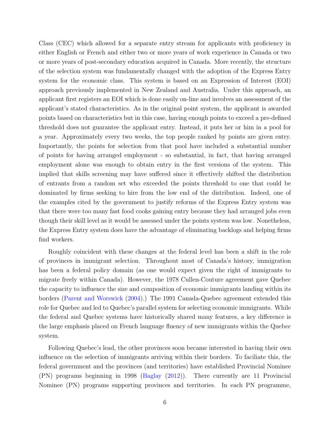Class (CEC) which allowed for a separate entry stream for applicants with proficiency in either English or French and either two or more years of work experience in Canada or two or more years of post-secondary education acquired in Canada. More recently, the structure of the selection system was fundamentally changed with the adoption of the Express Entry system for the economic class. This system is based on an Expression of Interest (EOI) approach previously implemented in New Zealand and Australia. Under this approach, an applicant first registers an EOI which is done easily on-line and involves an assessment of the applicant's stated characteristics. As in the original point system, the applicant is awarded points based on characteristics but in this case, having enough points to exceed a pre-defined threshold does not guarantee the applicant entry. Instead, it puts her or him in a pool for a year. Approximately every two weeks, the top people ranked by points are given entry. Importantly, the points for selection from that pool have included a substantial number of points for having arranged employment - so substantial, in fact, that having arranged employment alone was enough to obtain entry in the first versions of the system. This implied that skills screening may have suffered since it effectively shifted the distribution of entrants from a random set who exceeded the points threshold to one that could be dominated by firms seeking to hire from the low end of the distribution. Indeed, one of the examples cited by the government to justify reforms of the Express Entry system was that there were too many fast food cooks gaining entry because they had arranged jobs even though their skill level as it would be assessed under the points system was low. Nonetheless, the Express Entry system does have the advantage of eliminating backlogs and helping firms find workers.

Roughly coincident with these changes at the federal level has been a shift in the role of provinces in immigrant selection. Throughout most of Canada's history, immigration has been a federal policy domain (as one would expect given the right of immigrants to migrate freely within Canada). However, the 1978 Cullen-Couture agreement gave Quebec the capacity to influence the size and composition of economic immigrants landing within its borders [\(Parent and Worswick](#page-47-0) [\(2004\)](#page-47-0).) The 1991 Canada-Quebec agreement extended this role for Quebec and led to Quebec's parallel system for selecting economic immigrants. While the federal and Quebec systems have historically shared many features, a key difference is the large emphasis placed on French language fluency of new immigrants within the Quebec system.

Following Quebec's lead, the other provinces soon became interested in having their own influence on the selection of immigrants arriving within their borders. To faciliate this, the federal government and the provinces (and territories) have established Provincial Nominee (PN) programs beginning in 1998 [\(Baglay](#page-41-0) [\(2012\)](#page-41-0)). There currently are 11 Provincial Nominee (PN) programs supporting provinces and territories. In each PN programme,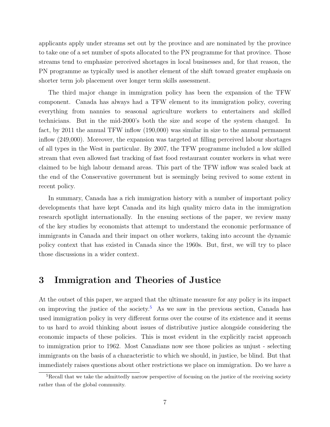applicants apply under streams set out by the province and are nominated by the province to take one of a set number of spots allocated to the PN programme for that province. Those streams tend to emphasize perceived shortages in local businesses and, for that reason, the PN programme as typically used is another element of the shift toward greater emphasis on shorter term job placement over longer term skills assessment.

The third major change in immigration policy has been the expansion of the TFW component. Canada has always had a TFW element to its immigration policy, covering everything from nannies to seasonal agriculture workers to entertainers and skilled technicians. But in the mid-2000's both the size and scope of the system changed. In fact, by 2011 the annual TFW inflow (190,000) was similar in size to the annual permanent inflow (249,000). Moreover, the expansion was targeted at filling perceived labour shortages of all types in the West in particular. By 2007, the TFW programme included a low skilled stream that even allowed fast tracking of fast food restaurant counter workers in what were claimed to be high labour demand areas. This part of the TFW inflow was scaled back at the end of the Conservative government but is seemingly being revived to some extent in recent policy.

In summary, Canada has a rich immigration history with a number of important policy developments that have kept Canada and its high quality micro data in the immigration research spotlight internationally. In the ensuing sections of the paper, we review many of the key studies by economists that attempt to understand the economic performance of immigrants in Canada and their impact on other workers, taking into account the dynamic policy context that has existed in Canada since the 1960s. But, first, we will try to place those discussions in a wider context.

### 3 Immigration and Theories of Justice

At the outset of this paper, we argued that the ultimate measure for any policy is its impact on improving the justice of the society.<sup>[5](#page-8-0)</sup> As we saw in the previous section, Canada has used immigration policy in very different forms over the course of its existence and it seems to us hard to avoid thinking about issues of distributive justice alongside considering the economic impacts of these policies. This is most evident in the explicitly racist approach to immigration prior to 1962. Most Canadians now see those policies as unjust - selecting immigrants on the basis of a characteristic to which we should, in justice, be blind. But that immediately raises questions about other restrictions we place on immigration. Do we have a

<span id="page-8-0"></span><sup>&</sup>lt;sup>5</sup>Recall that we take the admittedly narrow perspective of focusing on the justice of the receiving society rather than of the global community.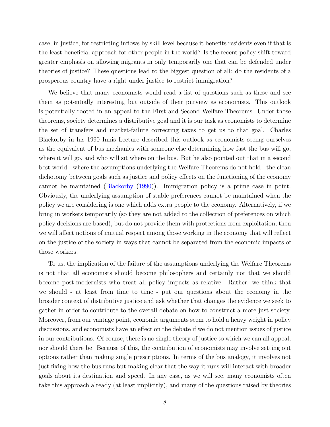case, in justice, for restricting inflows by skill level because it benefits residents even if that is the least beneficial approach for other people in the world? Is the recent policy shift toward greater emphasis on allowing migrants in only temporarily one that can be defended under theories of justice? These questions lead to the biggest question of all: do the residents of a prosperous country have a right under justice to restrict immigration?

We believe that many economists would read a list of questions such as these and see them as potentially interesting but outside of their purview as economists. This outlook is potentially rooted in an appeal to the First and Second Welfare Theorems. Under those theorems, society determines a distributive goal and it is our task as economists to determine the set of transfers and market-failure correcting taxes to get us to that goal. Charles Blackorby in his 1990 Innis Lecture described this outlook as economists seeing ourselves as the equivalent of bus mechanics with someone else determining how fast the bus will go, where it will go, and who will sit where on the bus. But he also pointed out that in a second best world - where the assumptions underlying the Welfare Theorems do not hold - the clean dichotomy between goals such as justice and policy effects on the functioning of the economy cannot be maintained [\(Blackorby](#page-42-1) [\(1990\)](#page-42-1)). Immigration policy is a prime case in point. Obviously, the underlying assumption of stable preferences cannot be maintained when the policy we are considering is one which adds extra people to the economy. Alternatively, if we bring in workers temporarily (so they are not added to the collection of preferences on which policy decisions are based), but do not provide them with protections from exploitation, then we will affect notions of mutual respect among those working in the economy that will reflect on the justice of the society in ways that cannot be separated from the economic impacts of those workers.

To us, the implication of the failure of the assumptions underlying the Welfare Theorems is not that all economists should become philosophers and certainly not that we should become post-modernists who treat all policy impacts as relative. Rather, we think that we should - at least from time to time - put our questions about the economy in the broader context of distributive justice and ask whether that changes the evidence we seek to gather in order to contribute to the overall debate on how to construct a more just society. Moreover, from our vantage point, economic arguments seem to hold a heavy weight in policy discussions, and economists have an effect on the debate if we do not mention issues of justice in our contributions. Of course, there is no single theory of justice to which we can all appeal, nor should there be. Because of this, the contribution of economists may involve setting out options rather than making single prescriptions. In terms of the bus analogy, it involves not just fixing how the bus runs but making clear that the way it runs will interact with broader goals about its destination and speed. In any case, as we will see, many economists often take this approach already (at least implicitly), and many of the questions raised by theories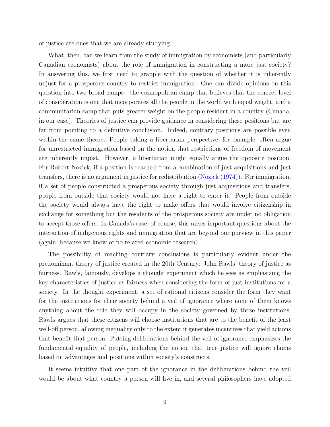of justice are ones that we are already studying.

What, then, can we learn from the study of immigration by economists (and particularly Canadian economists) about the role of immigration in constructing a more just society? In answering this, we first need to grapple with the question of whether it is inherently unjust for a prosperous country to restrict immigration. One can divide opinions on this question into two broad camps - the cosmopolitan camp that believes that the correct level of consideration is one that incorporates all the people in the world with equal weight, and a communitarian camp that puts greater weight on the people resident in a country (Canada, in our case). Theories of justice can provide guidance in considering these positions but are far from pointing to a definitive conclusion. Indeed, contrary positions are possible even within the same theory. People taking a libertarian perspective, for example, often argue for unrestricted immigration based on the notion that restrictions of freedom of movement are inherently unjust. However, a libertarian might equally argue the opposite position. For Robert Nozick, if a position is reached from a combination of just acquisitions and just transfers, there is no argument in justice for redistribution [\(Nozick](#page-47-1) [\(1974\)](#page-47-1)). For immigration, if a set of people constructed a prosperous society through just acquisitions and transfers, people from outside that society would not have a right to enter it. People from outside the society would always have the right to make offers that would involve citizenship in exchange for something but the residents of the prosperous society are under no obligation to accept those offers. In Canada's case, of course, this raises important questions about the interaction of indigenous rights and immigration that are beyond our purview in this paper (again, because we know of no related economic research).

The possibility of reaching contrary conclusions is particularly evident under the predominant theory of justice created in the 20th Century: John Rawls' theory of justice as fairness. Rawls, famously, develops a thought experiment which he sees as emphasizing the key characteristics of justice as fairness when considering the form of just institutions for a society. In the thought experiment, a set of rational citizens consider the form they want for the institutions for their society behind a veil of ignorance where none of them knows anything about the role they will occupy in the society governed by those institutions. Rawls argues that these citizens will choose institutions that are to the benefit of the least well-off person, allowing inequality only to the extent it generates incentives that yield actions that benefit that person. Putting deliberations behind the veil of ignorance emphasizes the fundamental equality of people, including the notion that true justice will ignore claims based on advantages and positions within society's constructs.

It seems intuitive that one part of the ignorance in the deliberations behind the veil would be about what country a person will live in, and several philosophers have adopted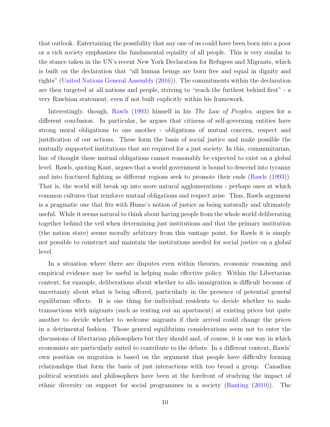that outlook. Entertaining the possibility that any one of us could have been born into a poor or a rich society emphasizes the fundamental equality of all people. This is very similar to the stance taken in the UN's recent New York Declaration for Refugees and Migrants, which is built on the declaration that "all human beings are born free and equal in dignity and rights" [\(United Nations General Assembly](#page-48-1) [\(2016\)](#page-48-1)). The commitments within the declaration are then targeted at all nations and people, striving to "reach the furthest behind first" - a very Rawlsian statement, even if not built explicitly within his framework.

Interestingly, though, [Rawls](#page-47-2) [\(1993\)](#page-47-2) himself in his The Law of Peoples, argues for a different conclusion. In particular, he argues that citizens of self-governing entities have strong moral obligations to one another - obligations of mutual concern, respect and justification of our actions. These form the basis of social justice and make possible the mutually supported institutions that are required for a just society. In this, communitarian, line of thought these mutual obligations cannot reasonably be expected to exist on a global level. Rawls, quoting Kant, argues that a world government is bound to descend into tyranny and into fractured fighting as different regions seek to promote their ends [\(Rawls](#page-47-2) [\(1993\)](#page-47-2)). That is, the world will break up into more natural agglomerations - perhaps ones at which common cultures that reinforce mutual obligations and respect arise. Thus, Rawls argument is a pragmatic one that fits with Hume's notion of justice as being naturally and ultimately useful. While it seems natural to think about having people from the whole world deliberating together behind the veil when determining just institutions and that the primary institution (the nation state) seems morally arbitrary from this vantage point, for Rawls it is simply not possible to construct and maintain the institutions needed for social justice on a global level.

In a situation where there are disputes even within theories, economic reasoning and empirical evidence may be useful in helping make effective policy. Within the Libertarian context, for example, deliberations about whether to allo immigration is difficult because of uncertainty about what is being offered, particularly in the presence of potential general equilibrium effects. It is one thing for individual residents to decide whether to make transactions with migrants (such as renting out an apartment) at existing prices but quite another to decide whether to welcome migrants if their arrival could change the prices in a detrimental fashion. Those general equilibrium considerations seem not to enter the discussions of libertarian philosophers but they should and, of course, it is one way in which economists are particularly suited to contribute to the debate. In a different context, Rawls' own position on migration is based on the argument that people have difficulty forming relationships that form the basis of just interactions with too broad a group. Canadian political scientists and philosophers have been at the forefront of studying the impact of ethnic diversity on support for social programmes in a society [\(Banting](#page-41-1) [\(2010\)](#page-41-1)). The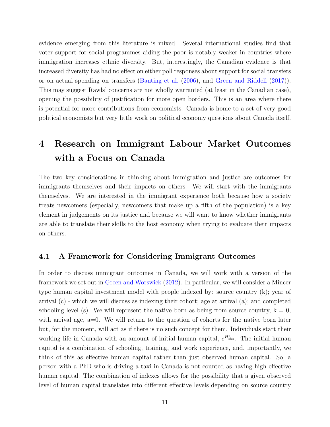evidence emerging from this literature is mixed. Several international studies find that voter support for social programmes aiding the poor is notably weaker in countries where immigration increases ethnic diversity. But, interestingly, the Canadian evidence is that increased diversity has had no effect on either poll responses about support for social transfers or on actual spending on transfers [\(Banting et al.](#page-41-2) [\(2006\)](#page-41-2), and [Green and Riddell](#page-45-2) [\(2017\)](#page-45-2)). This may suggest Rawls' concerns are not wholly warranted (at least in the Canadian case), opening the possibility of justification for more open borders. This is an area where there is potential for more contributions from economists. Canada is home to a set of very good political economists but very little work on political economy questions about Canada itself.

## 4 Research on Immigrant Labour Market Outcomes with a Focus on Canada

The two key considerations in thinking about immigration and justice are outcomes for immigrants themselves and their impacts on others. We will start with the immigrants themselves. We are interested in the immigrant experience both because how a society treats newcomers (especially, newcomers that make up a fifth of the population) is a key element in judgements on its justice and because we will want to know whether immigrants are able to translate their skills to the host economy when trying to evaluate their impacts on others.

#### 4.1 A Framework for Considering Immigrant Outcomes

In order to discuss immigrant outcomes in Canada, we will work with a version of the framework we set out in [Green and Worswick](#page-45-3) [\(2012\)](#page-45-3). In particular, we will consider a Mincer type human capital investment model with people indexed by: source country (k); year of arrival (c) - which we will discuss as indexing their cohort; age at arrival (a); and completed schooling level (s). We will represent the native born as being from source country,  $k = 0$ , with arrival age,  $a=0$ . We will return to the question of cohorts for the native born later but, for the moment, will act as if there is no such concept for them. Individuals start their working life in Canada with an amount of initial human capital,  $e^{H_{cka}^s}$ . The initial human capital is a combination of schooling, training, and work experience, and, importantly, we think of this as effective human capital rather than just observed human capital. So, a person with a PhD who is driving a taxi in Canada is not counted as having high effective human capital. The combination of indexes allows for the possibility that a given observed level of human capital translates into different effective levels depending on source country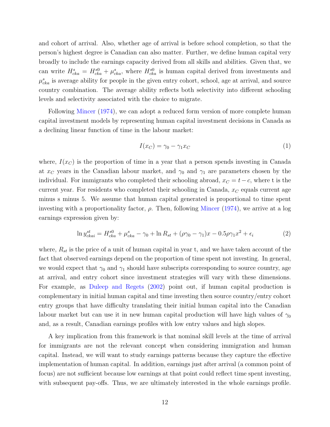and cohort of arrival. Also, whether age of arrival is before school completion, so that the person's highest degree is Canadian can also matter. Further, we define human capital very broadly to include the earnings capacity derived from all skills and abilities. Given that, we can write  $H_{cka}^{s} = H_{cka}^{s0} + \mu_{cka}^{s}$ , where  $H_{cka}^{s0}$  is human capital derived from investments and  $\mu_{cka}^{s}$  is average ability for people in the given entry cohort, school, age at arrival, and source country combination. The average ability reflects both selectivity into different schooling levels and selectivity associated with the choice to migrate.

Following [Mincer](#page-47-3) [\(1974\)](#page-47-3), we can adopt a reduced form version of more complete human capital investment models by representing human capital investment decisions in Canada as a declining linear function of time in the labour market:

$$
I(x_C) = \gamma_0 - \gamma_1 x_C \tag{1}
$$

where,  $I(x_C)$  is the proportion of time in a year that a person spends investing in Canada at  $x_C$  years in the Canadian labour market, and  $\gamma_0$  and  $\gamma_1$  are parameters chosen by the individual. For immigrants who completed their schooling abroad,  $x<sub>C</sub> = t - c$ , where t is the current year. For residents who completed their schooling in Canada,  $x_C$  equals current age minus s minus 5. We assume that human capital generated is proportional to time spent investing with a proportionality factor,  $\rho$ . Then, following [Mincer](#page-47-3) [\(1974\)](#page-47-3), we arrive at a log earnings expression given by:

<span id="page-13-0"></span>
$$
\ln y_{ckai}^{st} = H_{cka}^{s0} + \mu_{cka}^{s} - \gamma_0 + \ln R_{st} + (\rho \gamma_0 - \gamma_1)x - 0.5\rho \gamma_1 x^2 + \epsilon_i
$$
 (2)

where,  $R_{st}$  is the price of a unit of human capital in year t, and we have taken account of the fact that observed earnings depend on the proportion of time spent not investing. In general, we would expect that  $\gamma_0$  and  $\gamma_1$  should have subscripts corresponding to source country, age at arrival, and entry cohort since investment strategies will vary with these dimensions. For example, as [Duleep and Regets](#page-44-3) [\(2002\)](#page-44-3) point out, if human capital production is complementary in initial human capital and time investing then source country/entry cohort entry groups that have difficulty translating their initial human capital into the Canadian labour market but can use it in new human capital production will have high values of  $\gamma_0$ and, as a result, Canadian earnings profiles with low entry values and high slopes.

A key implication from this framework is that nominal skill levels at the time of arrival for immigrants are not the relevant concept when considering immigration and human capital. Instead, we will want to study earnings patterns because they capture the effective implementation of human capital. In addition, earnings just after arrival (a common point of focus) are not sufficient because low earnings at that point could reflect time spent investing, with subsequent pay-offs. Thus, we are ultimately interested in the whole earnings profile.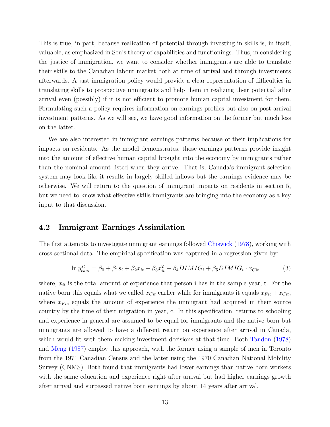This is true, in part, because realization of potential through investing in skills is, in itself, valuable, as emphasized in Sen's theory of capabilities and functionings. Thus, in considering the justice of immigration, we want to consider whether immigrants are able to translate their skills to the Canadian labour market both at time of arrival and through investments afterwards. A just immigration policy would provide a clear representation of difficulties in translating skills to prospective immigrants and help them in realizing their potential after arrival even (possibly) if it is not efficient to promote human capital investment for them. Formulating such a policy requires information on earnings profiles but also on post-arrival investment patterns. As we will see, we have good information on the former but much less on the latter.

We are also interested in immigrant earnings patterns because of their implications for impacts on residents. As the model demonstrates, those earnings patterns provide insight into the amount of effective human capital brought into the economy by immigrants rather than the nominal amount listed when they arrive. That is, Canada's immigrant selection system may look like it results in largely skilled inflows but the earnings evidence may be otherwise. We will return to the question of immigrant impacts on residents in section 5, but we need to know what effective skills immigrants are bringing into the economy as a key input to that discussion.

#### 4.2 Immigrant Earnings Assimilation

The first attempts to investigate immigrant earnings followed [Chiswick](#page-43-0) [\(1978\)](#page-43-0), working with cross-sectional data. The empirical specification was captured in a regression given by:

$$
\ln y_{ckai}^{st} = \beta_0 + \beta_1 s_i + \beta_2 x_{it} + \beta_3 x_{it}^2 + \beta_4 DIMIG_i + \beta_5 DIMIG_i \cdot x_{Cit}
$$
(3)

where,  $x_{it}$  is the total amount of experience that person i has in the sample year, t. For the native born this equals what we called  $x_{Cit}$  earlier while for immigrants it equals  $x_{Fic} + x_{Cit}$ , where  $x_{Fic}$  equals the amount of experience the immigrant had acquired in their source country by the time of their migration in year, c. In this specification, returns to schooling and experience in general are assumed to be equal for immigrants and the native born but immigrants are allowed to have a different return on experience after arrival in Canada, which would fit with them making investment decisions at that time. Both [Tandon](#page-48-2) [\(1978\)](#page-48-2) and [Meng](#page-47-4) [\(1987\)](#page-47-4) employ this approach, with the former using a sample of men in Toronto from the 1971 Canadian Census and the latter using the 1970 Canadian National Mobility Survey (CNMS). Both found that immigrants had lower earnings than native born workers with the same education and experience right after arrival but had higher earnings growth after arrival and surpassed native born earnings by about 14 years after arrival.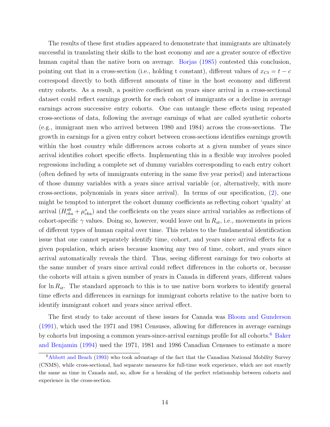The results of these first studies appeared to demonstrate that immigrants are ultimately successful in translating their skills to the host economy and are a greater source of effective human capital than the native born on average. [Borjas](#page-42-2) [\(1985\)](#page-42-2) contested this conclusion, pointing out that in a cross-section (i.e., holding t constant), different values of  $x_{C_t} = t - c$ correspond directly to both different amounts of time in the host economy and different entry cohorts. As a result, a positive coefficient on years since arrival in a cross-sectional dataset could reflect earnings growth for each cohort of immigrants or a decline in average earnings across successive entry cohorts. One can untangle these effects using repeated cross-sections of data, following the average earnings of what are called synthetic cohorts (e.g., immigrant men who arrived between 1980 and 1984) across the cross-sections. The growth in earnings for a given entry cohort between cross-sections identifies earnings growth within the host country while differences across cohorts at a given number of years since arrival identifies cohort specific effects. Implementing this in a flexible way involves pooled regressions including a complete set of dummy variables corresponding to each entry cohort (often defined by sets of immigrants entering in the same five year period) and interactions of those dummy variables with a years since arrival variable (or, alternatively, with more cross-sections, polynomials in years since arrival). In terms of our specification, [\(2\)](#page-13-0), one might be tempted to interpret the cohort dummy coefficients as reflecting cohort 'quality' at arrival  $(H_{cka}^{s0} + \mu_{cka}^{s})$  and the coefficients on the years since arrival variables as reflections of cohort-specific  $\gamma$  values. Doing so, however, would leave out ln  $R_{st}$ , i.e., movements in prices of different types of human capital over time. This relates to the fundamental identification issue that one cannot separately identify time, cohort, and years since arrival effects for a given population, which arises because knowing any two of time, cohort, and years since arrival automatically reveals the third. Thus, seeing different earnings for two cohorts at the same number of years since arrival could reflect differences in the cohorts or, because the cohorts will attain a given number of years in Canada in different years, different values for  $\ln R_{st}$ . The standard approach to this is to use native born workers to identify general time effects and differences in earnings for immigrant cohorts relative to the native born to identify immigrant cohort and years since arrival effect.

The first study to take account of these issues for Canada was [Bloom and Gunderson](#page-42-3) [\(1991\)](#page-42-3), which used the 1971 and 1981 Censuses, allowing for differences in average earnings by cohorts but imposing a common years-since-arrival earnings profile for all cohorts.<sup>[6](#page-15-0)</sup> [Baker](#page-41-3) [and Benjamin](#page-41-3) [\(1994\)](#page-41-3) used the 1971, 1981 and 1986 Canadian Censuses to estimate a more

<span id="page-15-0"></span><sup>&</sup>lt;sup>6</sup>[Abbott and Beach](#page-40-0) [\(1993\)](#page-40-0) who took advantage of the fact that the Canadian National Mobility Survey (CNMS), while cross-sectional, had separate measures for full-time work experience, which are not exactly the same as time in Canada and, so, allow for a breaking of the perfect relationship between cohorts and experience in the cross-section.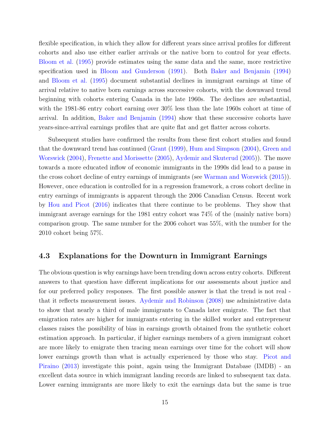flexible specification, in which they allow for different years since arrival profiles for different cohorts and also use either earlier arrivals or the native born to control for year effects. [Bloom et al.](#page-42-4) [\(1995\)](#page-42-4) provide estimates using the same data and the same, more restrictive specification used in [Bloom and Gunderson](#page-42-3) [\(1991\)](#page-42-3). Both [Baker and Benjamin](#page-41-3) [\(1994\)](#page-41-3) and [Bloom et al.](#page-42-4) [\(1995\)](#page-42-4) document substantial declines in immigrant earnings at time of arrival relative to native born earnings across successive cohorts, with the downward trend beginning with cohorts entering Canada in the late 1960s. The declines are substantial, with the 1981-86 entry cohort earning over 30% less than the late 1960s cohort at time of arrival. In addition, [Baker and Benjamin](#page-41-3) [\(1994\)](#page-41-3) show that these successive cohorts have years-since-arrival earnings profiles that are quite flat and get flatter across cohorts.

Subsequent studies have confirmed the results from these first cohort studies and found that the downward trend has continued [\(Grant](#page-44-4) [\(1999\)](#page-44-4), [Hum and Simpson](#page-46-1) [\(2004\)](#page-46-1), [Green and](#page-45-1) [Worswick](#page-45-1) [\(2004\)](#page-45-1), [Frenette and Morissette](#page-44-5) [\(2005\)](#page-44-5), [Aydemir and Skuterud](#page-41-4) [\(2005\)](#page-41-4)). The move towards a more educated inflow of economic immigrants in the 1990s did lead to a pause in the cross cohort decline of entry earnings of immigrants (see [Warman and Worswick](#page-48-3) [\(2015\)](#page-48-3)). However, once education is controlled for in a regression framework, a cross cohort decline in entry earnings of immigrants is apparent through the 2006 Canadian Census. Recent work by [Hou and Picot](#page-45-4) [\(2016\)](#page-45-4) indicates that there continue to be problems. They show that immigrant average earnings for the 1981 entry cohort was 74% of the (mainly native born) comparison group. The same number for the 2006 cohort was 55%, with the number for the 2010 cohort being 57%.

#### 4.3 Explanations for the Downturn in Immigrant Earnings

The obvious question is why earnings have been trending down across entry cohorts. Different answers to that question have different implications for our assessments about justice and for our preferred policy responses. The first possible answer is that the trend is not real that it reflects measurement issues. [Aydemir and Robinson](#page-41-5) [\(2008\)](#page-41-5) use administrative data to show that nearly a third of male immigrants to Canada later emigrate. The fact that emigration rates are higher for immigrants entering in the skilled worker and entrepreneur classes raises the possibility of bias in earnings growth obtained from the synthetic cohort estimation approach. In particular, if higher earnings members of a given immigrant cohort are more likely to emigrate then tracing mean earnings over time for the cohort will show lower earnings growth than what is actually experienced by those who stay. [Picot and](#page-47-5) [Piraino](#page-47-5) [\(2013\)](#page-47-5) investigate this point, again using the Immigrant Database (IMDB) - an excellent data source in which immigrant landing records are linked to subsequent tax data. Lower earning immigrants are more likely to exit the earnings data but the same is true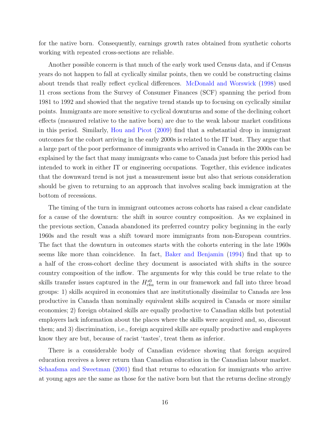for the native born. Consequently, earnings growth rates obtained from synthetic cohorts working with repeated cross-sections are reliable.

Another possible concern is that much of the early work used Census data, and if Census years do not happen to fall at cyclically similar points, then we could be constructing claims about trends that really reflect cyclical differences. [McDonald and Worswick](#page-46-2) [\(1998\)](#page-46-2) used 11 cross sections from the Survey of Consumer Finances (SCF) spanning the period from 1981 to 1992 and showied that the negative trend stands up to focusing on cyclically similar points. Immigrants are more sensitive to cyclical downturns and some of the declining cohort effects (measured relative to the native born) are due to the weak labour market conditions in this period. Similarly, [Hou and Picot](#page-45-5) [\(2009\)](#page-45-5) find that a substantial drop in immigrant outcomes for the cohort arriving in the early 2000s is related to the IT bust. They argue that a large part of the poor performance of immigrants who arrived in Canada in the 2000s can be explained by the fact that many immigrants who came to Canada just before this period had intended to work in either IT or engineering occupations. Together, this evidence indicates that the downward trend is not just a measurement issue but also that serious consideration should be given to returning to an approach that involves scaling back immigration at the bottom of recessions.

The timing of the turn in immigrant outcomes across cohorts has raised a clear candidate for a cause of the downturn: the shift in source country composition. As we explained in the previous section, Canada abandoned its preferred country policy beginning in the early 1960s and the result was a shift toward more immigrants from non-European countries. The fact that the downturn in outcomes starts with the cohorts entering in the late 1960s seems like more than coincidence. In fact, [Baker and Benjamin](#page-41-3) [\(1994\)](#page-41-3) find that up to a half of the cross-cohort decline they document is associated with shifts in the source country composition of the inflow. The arguments for why this could be true relate to the skills transfer issues captured in the  $H_{cka}^{s0}$  term in our framework and fall into three broad groups: 1) skills acquired in economies that are institutionally dissimilar to Canada are less productive in Canada than nominally equivalent skills acquired in Canada or more similar economies; 2) foreign obtained skills are equally productive to Canadian skills but potential employers lack information about the places where the skills were acquired and, so, discount them; and 3) discrimination, i.e., foreign acquired skills are equally productive and employers know they are but, because of racist 'tastes', treat them as inferior.

There is a considerable body of Canadian evidence showing that foreign acquired education receives a lower return than Canadian education in the Canadian labour market. [Schaafsma and Sweetman](#page-48-4) [\(2001\)](#page-48-4) find that returns to education for immigrants who arrive at young ages are the same as those for the native born but that the returns decline strongly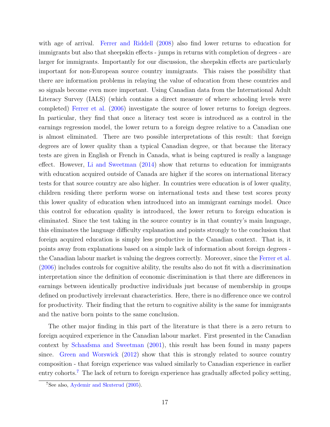with age of arrival. [Ferrer and Riddell](#page-44-6) [\(2008\)](#page-44-6) also find lower returns to education for immigrants but also that sheepskin effects - jumps in returns with completion of degrees - are larger for immigrants. Importantly for our discussion, the sheepskin effects are particularly important for non-European source country immigrants. This raises the possibility that there are information problems in relaying the value of education from these countries and so signals become even more important. Using Canadian data from the International Adult Literacy Survey (IALS) (which contains a direct measure of where schooling levels were completed) [Ferrer et al.](#page-44-7) [\(2006\)](#page-44-7) investigate the source of lower returns to foreign degrees. In particular, they find that once a literacy test score is introduced as a control in the earnings regression model, the lower return to a foreign degree relative to a Canadian one is almost eliminated. There are two possible interpretations of this result: that foreign degrees are of lower quality than a typical Canadian degree, or that because the literacy tests are given in English or French in Canada, what is being captured is really a language effect. However, [Li and Sweetman](#page-46-3) [\(2014\)](#page-46-3) show that returns to education for immigrants with education acquired outside of Canada are higher if the scores on international literacy tests for that source country are also higher. In countries were education is of lower quality, children residing there perform worse on international tests and these test scores proxy this lower quality of education when introduced into an immigrant earnings model. Once this control for education quality is introduced, the lower return to foreign education is eliminated. Since the test taking in the source country is in that country's main language, this eliminates the language difficulty explanation and points strongly to the conclusion that foreign acquired education is simply less productive in the Canadian context. That is, it points away from explanations based on a simple lack of information about foreign degrees the Canadian labour market is valuing the degrees correctly. Moreover, since the [Ferrer et al.](#page-44-7) [\(2006\)](#page-44-7) includes controls for cognitive ability, the results also do not fit with a discrimination interpretation since the definition of economic discrimination is that there are differences in earnings between identically productive individuals just because of membership in groups defined on productively irrelevant characteristics. Here, there is no difference once we control for productivity. Their finding that the return to cognitive ability is the same for immigrants and the native born points to the same conclusion.

The other major finding in this part of the literature is that there is a zero return to foreign acquired experience in the Canadian labour market. First presented in the Canadian context by [Schaafsma and Sweetman](#page-48-4) [\(2001\)](#page-48-4), this result has been found in many papers since. [Green and Worswick](#page-45-3) [\(2012\)](#page-45-3) show that this is strongly related to source country composition - that foreign experience was valued similarly to Canadian experience in earlier entry cohorts.<sup>[7](#page-18-0)</sup> The lack of return to foreign experience has gradually affected policy setting,

<span id="page-18-0"></span><sup>7</sup>See also, [Aydemir and Skuterud](#page-41-4) [\(2005\)](#page-41-4).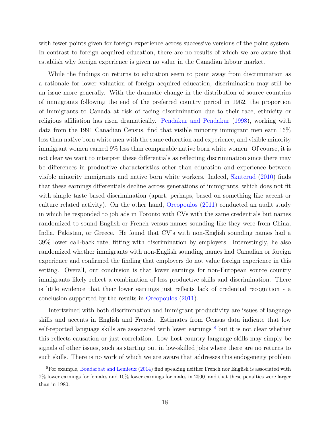with fewer points given for foreign experience across successive versions of the point system. In contrast to foreign acquired education, there are no results of which we are aware that establish why foreign experience is given no value in the Canadian labour market.

While the findings on returns to education seem to point away from discrimination as a rationale for lower valuation of foreign acquired education, discrimination may still be an issue more generally. With the dramatic change in the distribution of source countries of immigrants following the end of the preferred country period in 1962, the proportion of immigrants to Canada at risk of facing discrimination due to their race, ethnicity or religious affiliation has risen dramatically. [Pendakur and Pendakur](#page-47-6) [\(1998\)](#page-47-6), working with data from the 1991 Canadian Census, find that visible minority immigrant men earn 16% less than native born white men with the same education and experience, and visible minority immigrant women earned 9% less than comparable native born white women. Of course, it is not clear we want to interpret these differentials as reflecting discrimination since there may be differences in productive characteristics other than education and experience between visible minority immigrants and native born white workers. Indeed, [Skuterud](#page-48-5) [\(2010\)](#page-48-5) finds that these earnings differentials decline across generations of immigrants, which does not fit with simple taste based discrimination (apart, perhaps, based on something like accent or culture related activity). On the other hand, [Oreopoulos](#page-47-7) [\(2011\)](#page-47-7) conducted an audit study in which he responded to job ads in Toronto with CVs with the same credentials but names randomized to sound English or French versus names sounding like they were from China, India, Pakistan, or Greece. He found that CV's with non-English sounding names had a 39% lower call-back rate, fitting with discrimination by employers. Interestingly, he also randomized whether immigrants with non-English sounding names had Canadian or foreign experience and confirmed the finding that employers do not value foreign experience in this setting. Overall, our conclusion is that lower earnings for non-European source country immigrants likely reflect a combination of less productive skills and discrimination. There is little evidence that their lower earnings just reflects lack of credential recognition - a conclusion supported by the results in [Oreopoulos](#page-47-7) [\(2011\)](#page-47-7).

Intertwined with both discrimination and immigrant productivity are issues of language skills and accents in English and French. Estimates from Census data indicate that low self-reported language skills are associated with lower earnings  $8$  but it is not clear whether this reflects causation or just correlation. Low host country language skills may simply be signals of other issues, such as starting out in low-skilled jobs where there are no returns to such skills. There is no work of which we are aware that addresses this endogeneity problem

<span id="page-19-0"></span><sup>8</sup>For example, [Boudarbat and Lemieux](#page-43-1) [\(2014\)](#page-43-1) find speaking neither French nor English is associated with 7% lower earnings for females and 10% lower earnings for males in 2000, and that these penalties were larger than in 1980.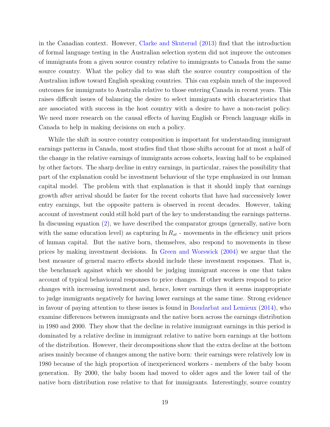in the Canadian context. However, [Clarke and Skuterud](#page-43-2) [\(2013\)](#page-43-2) find that the introduction of formal language testing in the Australian selection system did not improve the outcomes of immigrants from a given source country relative to immigrants to Canada from the same source country. What the policy did to was shift the source country composition of the Australian inflow toward English speaking countries. This can explain much of the improved outcomes for immigrants to Australia relative to those entering Canada in recent years. This raises difficult issues of balancing the desire to select immigrants with characteristics that are associated with success in the host country with a desire to have a non-racist policy. We need more research on the causal effects of having English or French language skills in Canada to help in making decisions on such a policy.

While the shift in source country composition is important for understanding immigrant earnings patterns in Canada, most studies find that those shifts account for at most a half of the change in the relative earnings of immigrants across cohorts, leaving half to be explained by other factors. The sharp decline in entry earnings, in particular, raises the possibility that part of the explanation could be investment behaviour of the type emphasized in our human capital model. The problem with that explanation is that it should imply that earnings growth after arrival should be faster for the recent cohorts that have had successively lower entry earnings, but the opposite pattern is observed in recent decades. However, taking account of investment could still hold part of the key to understanding the earnings patterns. In discussing equation [\(2\)](#page-13-0), we have described the comparator groups (generally, native born with the same education level) as capturing  $\ln R_{st}$  - movements in the efficiency unit prices of human capital. But the native born, themselves, also respond to movements in these prices by making investment decisions. In [Green and Worswick](#page-45-1) [\(2004\)](#page-45-1) we argue that the best measure of general macro effects should include these investment responses. That is, the benchmark against which we should be judging immigrant success is one that takes account of typical behavioural responses to price changes. If other workers respond to price changes with increasing investment and, hence, lower earnings then it seems inappropriate to judge immigrants negatively for having lower earnings at the same time. Strong evidence in favour of paying attention to these issues is found in [Boudarbat and Lemieux](#page-43-1) [\(2014\)](#page-43-1), who examine differences between immigrants and the native born across the earnings distribution in 1980 and 2000. They show that the decline in relative immigrant earnings in this period is dominated by a relative decline in immigrant relative to native born earnings at the bottom of the distribution. However, their decompositions show that the extra decline at the bottom arises mainly because of changes among the native born: their earnings were relatively low in 1980 because of the high proportion of inexperienced workers - members of the baby boom generation. By 2000, the baby boom had moved to older ages and the lower tail of the native born distribution rose relative to that for immigrants. Interestingly, source country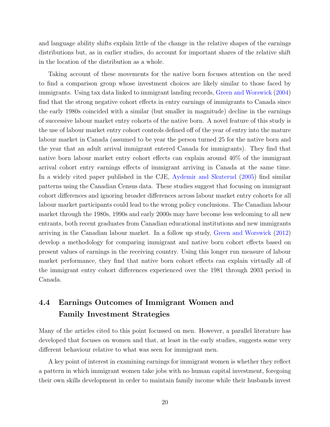and language ability shifts explain little of the change in the relative shapes of the earnings distributions but, as in earlier studies, do account for important shares of the relative shift in the location of the distribution as a whole.

Taking account of these movements for the native born focuses attention on the need to find a comparison group whose investment choices are likely similar to those faced by immigrants. Using tax data linked to immigrant landing records, [Green and Worswick](#page-45-1) [\(2004\)](#page-45-1) find that the strong negative cohort effects in entry earnings of immigrants to Canada since the early 1980s coincided with a similar (but smaller in magnitude) decline in the earnings of successive labour market entry cohorts of the native born. A novel feature of this study is the use of labour market entry cohort controls defined off of the year of entry into the mature labour market in Canada (assumed to be year the person turned 25 for the native born and the year that an adult arrival immigrant entered Canada for immigrants). They find that native born labour market entry cohort effects can explain around 40% of the immigrant arrival cohort entry earnings effects of immigrant arriving in Canada at the same time. In a widely cited paper published in the CJE, [Aydemir and Skuterud](#page-41-4) [\(2005\)](#page-41-4) find similar patterns using the Canadian Census data. These studies suggest that focusing on immigrant cohort differences and ignoring broader differences across labour market entry cohorts for all labour market participants could lead to the wrong policy conclusions. The Canadian labour market through the 1980s, 1990s and early 2000s may have become less welcoming to all new entrants, both recent graduates from Canadian educational institutions and new immigrants arriving in the Canadian labour market. In a follow up study, [Green and Worswick](#page-45-3) [\(2012\)](#page-45-3) develop a methodology for comparing immigrant and native born cohort effects based on present values of earnings in the receiving country. Using this longer run measure of labour market performance, they find that native born cohort effects can explain virtually all of the immigrant entry cohort differences experienced over the 1981 through 2003 period in Canada.

## 4.4 Earnings Outcomes of Immigrant Women and Family Investment Strategies

Many of the articles cited to this point focussed on men. However, a parallel literature has developed that focuses on women and that, at least in the early studies, suggests some very different behaviour relative to what was seen for immigrant men.

A key point of interest in examining earnings for immigrant women is whether they reflect a pattern in which immigrant women take jobs with no human capital investment, foregoing their own skills development in order to maintain family income while their husbands invest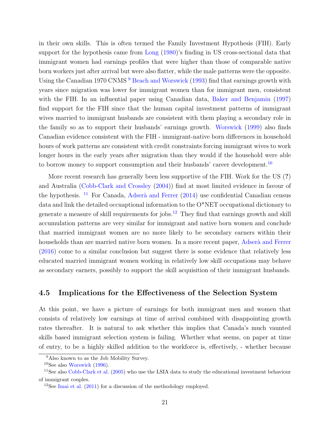in their own skills. This is often termed the Family Investment Hypothesis (FIH). Early support for the hypothesis came from [Long](#page-46-4) [\(1980\)](#page-46-4)'s finding in US cross-sectional data that immigrant women had earnings profiles that were higher than those of comparable native born workers just after arrival but were also flatter, while the male patterns were the opposite. Using the Canadian 1[9](#page-22-0)70 CNMS<sup>9</sup> [Beach and Worswick](#page-42-5) [\(1993\)](#page-42-5) find that earnings growth with years since migration was lower for immigrant women than for immigrant men, consistent with the FIH. In an influential paper using Canadian data, [Baker and Benjamin](#page-41-6) [\(1997\)](#page-41-6) find support for the FIH since that the human capital investment patterns of immigrant wives married to immigrant husbands are consistent with them playing a secondary role in the family so as to support their husbands' earnings growth. [Worswick](#page-49-0) [\(1999\)](#page-49-0) also finds Canadian evidence consistent with the FIH - immigrant-native born differences in household hours of work patterns are consistent with credit constraints forcing immigrant wives to work longer hours in the early years after migration than they would if the household were able to borrow money to support consumption and their husbands' career development.<sup>[10](#page-22-1)</sup>

More recent research has generally been less supportive of the FIH. Work for the US (?) and Australia [\(Cobb-Clark and Crossley](#page-43-3) [\(2004\)](#page-43-3)) find at most limited evidence in favour of the hypothesis.  $^{11}$  $^{11}$  $^{11}$  For Canada, Adserà and Ferrer [\(2014\)](#page-40-1) use confidential Canadian census data and link the detailed occuaptional information to the O\*NET occupational dictionary to generate a measure of skill requirements for jobs.<sup>[12](#page-22-3)</sup> They find that earnings growth and skill accumulation patterns are very similar for immigrant and native born women and conclude that married immigrant women are no more likely to be secondary earners within their households than are married native born women. In a more recent paper, Adserà and Ferrer [\(2016\)](#page-40-2) come to a similar conclusion but suggest there is some evidence that relatively less educated married immigrant women working in relatively low skill occupations may behave as secondary earners, possibly to support the skill acquisition of their immigrant husbands.

#### 4.5 Implications for the Effectiveness of the Selection System

At this point, we have a picture of earnings for both immigrant men and women that consists of relatively low earnings at time of arrival combined with disappointing growth rates thereafter. It is natural to ask whether this implies that Canada's much vaunted skills based immigrant selection system is failing. Whether what seems, on paper at time of entry, to be a highly skilled addition to the workforce is, effectively, - whether because

<span id="page-22-0"></span><sup>&</sup>lt;sup>9</sup>Also known to as the Job Mobility Survey.

<span id="page-22-2"></span><span id="page-22-1"></span><sup>10</sup>See also [Worswick](#page-48-6) [\(1996\)](#page-48-6).

 $11$ See also [Cobb-Clark et al.](#page-43-4) [\(2005\)](#page-43-4) who use the LSIA data to study the educational investment behaviour of immigrant couples.

<span id="page-22-3"></span><sup>&</sup>lt;sup>12</sup>See [Imai et al.](#page-46-5)  $(2011)$  for a discussion of the methodology employed.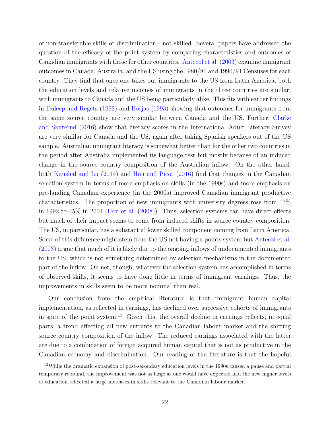of non-transferable skills or discrimination - not skilled. Several papers have addressed the question of the efficacy of the point system by comparing characteristics and outcomes of Canadian immigrants with those for other countries. [Antecol et al.](#page-40-3) [\(2003\)](#page-40-3) examine immigrant outcomes in Canada, Australia, and the US using the 1980/81 and 1990/91 Censuses for each country. They find that once one takes out immigrants to the US from Latin America, both the education levels and relative incomes of immigrants in the three countries are similar, with immigrants to Canada and the US being particularly alike. This fits with earlier findings in [Duleep and Regets](#page-43-5) [\(1992\)](#page-43-5) and [Borjas](#page-42-6) [\(1993\)](#page-42-6) showing that outcomes for immigrants from the same source country are very similar between Canada and the US. Further, [Clarke](#page-43-6) [and Skuterud](#page-43-6) [\(2016\)](#page-43-6) show that literacy scores in the International Adult Literacy Survey are very similar for Canada and the US, again after taking Spanish speakers out of the US sample. Australian immigrant literacy is somewhat better than for the other two countries in the period after Australia implemented its language test but mostly because of an induced change in the source country composition of the Australian inflow. On the other hand, both [Kaushal and Lu](#page-46-6) [\(2014\)](#page-46-6) and [Hou and Picot](#page-45-4) [\(2016\)](#page-45-4) find that changes in the Canadian selection system in terms of more emphasis on skills (in the 1990s) and more emphasis on pre-landing Canadian experience (in the 2000s) improved Canadian immigrant productive characteristics. The proportion of new immigrants with university degrees rose from 17% in 1992 to 45% in 2004 [\(Hou et al.](#page-45-6) [\(2008\)](#page-45-6)). Thus, selection systems can have direct effects but much of their impact seems to come from induced shifts in source country composition. The US, in particular, has a substantial lower skilled component coming from Latin America. Some of this difference might stem from the US not having a points system but [Antecol et al.](#page-40-3) [\(2003\)](#page-40-3) argue that much of it is likely due to the ongoing inflows of undocumented immigrants to the US, which is not something determined by selection mechanisms in the documented part of the inflow. On net, though, whatever the selection system has accomplished in terms of observed skills, it seems to have done little in terms of immigrant earnings. Thus, the improvements in skills seem to be more nominal than real.

Our conclusion from the empirical literature is that immigrant human capital implementation, as reflected in earnings, has declined over successive cohorts of immigrants in spite of the point system.<sup>[13](#page-23-0)</sup> Given this, the overall decline in earnings reflects, in equal parts, a trend affecting all new entrants to the Canadian labour market and the shifting source country composition of the inflow. The reduced earnings associated with the latter are due to a combination of foreign acquired human capital that is not as productive in the Canadian economy and discrimination. Our reading of the literature is that the hopeful

<span id="page-23-0"></span><sup>&</sup>lt;sup>13</sup>While the dramatic expansion of post-secondary education levels in the 1990s caused a pause and partial temporary rebound, the improvement was not as large as one would have expected had the new higher levels of education reflected a large increases in skills relevant to the Canadian labour market.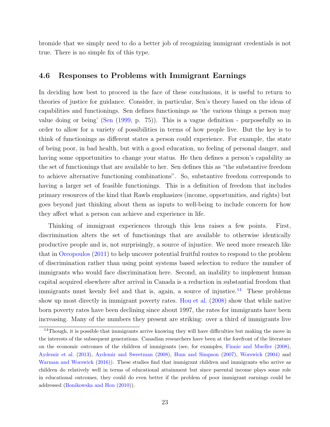bromide that we simply need to do a better job of recognizing immigrant credentials is not true. There is no simple fix of this type.

#### 4.6 Responses to Problems with Immigrant Earnings

In deciding how best to proceed in the face of these conclusions, it is useful to return to theories of justice for guidance. Consider, in particular, Sen's theory based on the ideas of capabilities and functionings. Sen defines functionings as 'the various things a person may value doing or being' [\(Sen](#page-48-7) [\(1999,](#page-48-7) p. 75)). This is a vague definition - purposefully so in order to allow for a variety of possibilities in terms of how people live. But the key is to think of functionings as different states a person could experience. For example, the state of being poor, in bad health, but with a good education, no feeling of personal danger, and having some opportunities to change your status. He then defines a person's capability as the set of functionings that are available to her. Sen defines this as "the substantive freedom to achieve alternative functioning combinations". So, substantive freedom corresponds to having a larger set of feasible functionings. This is a definition of freedom that includes primary resources of the kind that Rawls emphasizes (income, opportunities, and rights) but goes beyond just thinking about them as inputs to well-being to include concern for how they affect what a person can achieve and experience in life.

Thinking of immigrant experiences through this lens raises a few points. First, discrimination alters the set of functionings that are available to otherwise identically productive people and is, not surprisingly, a source of injustice. We need more research like that in [Oreopoulos](#page-47-7) [\(2011\)](#page-47-7) to help uncover potential fruitful routes to respond to the problem of discrimination rather than using point systems based selection to reduce the number of immigrants who would face discrimination here. Second, an inability to implement human capital acquired elsewhere after arrival in Canada is a reduction in substantial freedom that immigrants must keenly feel and that is, again, a source of injustice.<sup>[14](#page-24-0)</sup> These problems show up most directly in immigrant poverty rates. [Hou et al.](#page-45-6) [\(2008\)](#page-45-6) show that while native born poverty rates have been declining since about 1997, the rates for immigrants have been increasing. Many of the numbers they present are striking: over a third of immigrants live

<span id="page-24-0"></span><sup>&</sup>lt;sup>14</sup>Though, it is possible that immigrants arrive knowing they will have difficulties but making the move in the interests of the subsequent generations. Canadian researchers have been at the forefront of the literature on the economic outcomes of the children of immigrants (see, for examples, [Finnie and Mueller](#page-44-8) [\(2008\)](#page-44-8), [Aydemir et al.](#page-41-7) [\(2013\)](#page-41-7), [Aydemir and Sweetman](#page-41-8) [\(2008\)](#page-41-8), [Hum and Simpson](#page-46-7) [\(2007\)](#page-46-7), [Worswick](#page-49-1) [\(2004\)](#page-49-1) and [Warman and Worswick](#page-48-8) [\(2016\)](#page-48-8)). These studies find that immigrant children and immigrants who arrive as children do relatively well in terms of educational attainment but since parental income plays some role in educational outcomes, they could do even better if the problem of poor immigrant earnings could be addressed [\(Bonikowska and Hou](#page-42-7) [\(2010\)](#page-42-7)).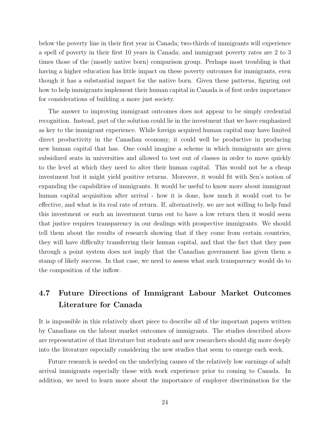below the poverty line in their first year in Canada; two-thirds of immigrants will experience a spell of poverty in their first 10 years in Canada; and immigrant poverty rates are 2 to 3 times those of the (mostly native born) comparison group. Perhaps most troubling is that having a higher education has little impact on these poverty outcomes for immigrants, even though it has a substantial impact for the native born. Given these patterns, figuring out how to help immigrants implement their human capital in Canada is of first order importance for considerations of building a more just society.

The answer to improving immigrant outcomes does not appear to be simply credential recognition. Instead, part of the solution could lie in the investment that we have emphasized as key to the immigrant experience. While foreign acquired human capital may have limited direct productivity in the Canadian economy, it could well be productive in producing new human capital that has. One could imagine a scheme in which immigrants are given subsidized seats in universities and allowed to test out of classes in order to move quickly to the level at which they need to alter their human capital. This would not be a cheap investment but it might yield positive returns. Moreover, it would fit with Sen's notion of expanding the capabilities of immigrants. It would be useful to know more about immigrant human capital acquisition after arrival - how it is done, how much it would cost to be effective, and what is its real rate of return. If, alternatively, we are not willing to help fund this investment or such an investment turns out to have a low return then it would seem that justice requires transparency in our dealings with prospective immigrants. We should tell them about the results of research showing that if they come from certain countries, they will have difficulty transferring their human capital, and that the fact that they pass through a point system does not imply that the Canadian government has given them a stamp of likely success. In that case, we need to assess what such transparency would do to the composition of the inflow.

## 4.7 Future Directions of Immigrant Labour Market Outcomes Literature for Canada

It is impossible in this relatively short piece to describe all of the important papers written by Canadians on the labour market outcomes of immigrants. The studies described above are representative of that literature but students and new researchers should dig more deeply into the literature especially considering the new studies that seem to emerge each week.

Future research is needed on the underlying causes of the relatively low earnings of adult arrival immigrants especially those with work experience prior to coming to Canada. In addition, we need to learn more about the importance of employer discrimination for the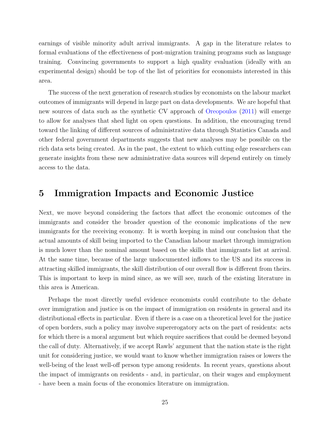earnings of visible minority adult arrival immigrants. A gap in the literature relates to formal evaluations of the effectiveness of post-migration training programs such as language training. Convincing governments to support a high quality evaluation (ideally with an experimental design) should be top of the list of priorities for economists interested in this area.

The success of the next generation of research studies by economists on the labour market outcomes of immigrants will depend in large part on data developments. We are hopeful that new sources of data such as the synthetic CV approach of [Oreopoulos](#page-47-7) [\(2011\)](#page-47-7) will emerge to allow for analyses that shed light on open questions. In addition, the encouraging trend toward the linking of different sources of administrative data through Statistics Canada and other federal government departments suggests that new analyses may be possible on the rich data sets being created. As in the past, the extent to which cutting edge researchers can generate insights from these new administrative data sources will depend entirely on timely access to the data.

## 5 Immigration Impacts and Economic Justice

Next, we move beyond considering the factors that affect the economic outcomes of the immigrants and consider the broader question of the economic implications of the new immigrants for the receiving economy. It is worth keeping in mind our conclusion that the actual amounts of skill being imported to the Canadian labour market through immigration is much lower than the nominal amount based on the skills that immigrants list at arrival. At the same time, because of the large undocumented inflows to the US and its success in attracting skilled immigrants, the skill distribution of our overall flow is different from theirs. This is important to keep in mind since, as we will see, much of the existing literature in this area is American.

Perhaps the most directly useful evidence economists could contribute to the debate over immigration and justice is on the impact of immigration on residents in general and its distributional effects in particular. Even if there is a case on a theoretical level for the justice of open borders, such a policy may involve supererogatory acts on the part of residents: acts for which there is a moral argument but which require sacrifices that could be deemed beyond the call of duty. Alternatively, if we accept Rawls' argument that the nation state is the right unit for considering justice, we would want to know whether immigration raises or lowers the well-being of the least well-off person type among residents. In recent years, questions about the impact of immigrants on residents - and, in particular, on their wages and employment - have been a main focus of the economics literature on immigration.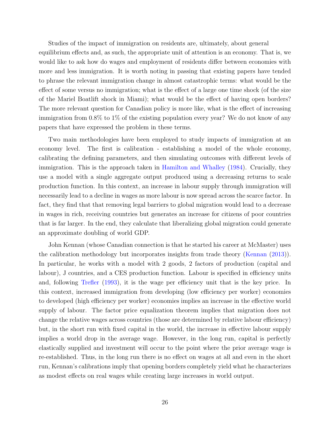Studies of the impact of immigration on residents are, ultimately, about general equilibrium effects and, as such, the appropriate unit of attention is an economy. That is, we would like to ask how do wages and employment of residents differ between economies with more and less immigration. It is worth noting in passing that existing papers have tended to phrase the relevant immigration change in almost catastrophic terms: what would be the effect of some versus no immigration; what is the effect of a large one time shock (of the size of the Mariel Boatlift shock in Miami); what would be the effect of having open borders? The more relevant question for Canadian policy is more like, what is the effect of increasing immigration from 0.8% to 1% of the existing population every year? We do not know of any papers that have expressed the problem in these terms.

Two main methodologies have been employed to study impacts of immigration at an economy level. The first is calibration - establishing a model of the whole economy, calibrating the defining parameters, and then simulating outcomes with different levels of immigration. This is the approach taken in [Hamilton and Whalley](#page-45-7) [\(1984\)](#page-45-7). Crucially, they use a model with a single aggregate output produced using a decreasing returns to scale production function. In this context, an increase in labour supply through immigration will necessarily lead to a decline in wages as more labour is now spread across the scarce factor. In fact, they find that that removing legal barriers to global migration would lead to a decrease in wages in rich, receiving countries but generates an increase for citizens of poor countries that is far larger. In the end, they calculate that liberalizing global migration could generate an approximate doubling of world GDP.

John Kennan (whose Canadian connection is that he started his career at McMaster) uses the calibration methodology but incorporates insights from trade theory [\(Kennan](#page-46-8) [\(2013\)](#page-46-8)). In particular, he works with a model with 2 goods, 2 factors of production (capital and labour), J countries, and a CES production function. Labour is specified in efficiency units and, following [Trefler](#page-48-9) [\(1993\)](#page-48-9), it is the wage per efficiency unit that is the key price. In this context, increased immigration from developing (low efficiency per worker) economies to developed (high efficiency per worker) economies implies an increase in the effective world supply of labour. The factor price equalization theorem implies that migration does not change the relative wages across countries (those are determined by relative labour efficiency) but, in the short run with fixed capital in the world, the increase in effective labour supply implies a world drop in the average wage. However, in the long run, capital is perfectly elastically supplied and investment will occur to the point where the prior average wage is re-established. Thus, in the long run there is no effect on wages at all and even in the short run, Kennan's calibrations imply that opening borders completely yield what he characterizes as modest effects on real wages while creating large increases in world output.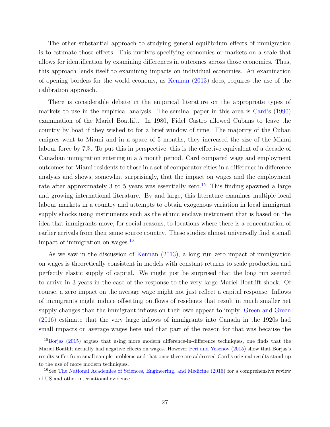The other substantial approach to studying general equilibrium effects of immigration is to estimate those effects. This involves specifying economies or markets on a scale that allows for identification by examining differences in outcomes across those economies. Thus, this approach lends itself to examining impacts on individual economies. An examination of opening borders for the world economy, as [Kennan](#page-46-8) [\(2013\)](#page-46-8) does, requires the use of the calibration approach.

There is considerable debate in the empirical literature on the appropriate types of markets to use in the empirical analysis. The seminal paper in this area is [Card'](#page-43-7)s [\(1990\)](#page-43-7) examination of the Mariel Boatlift. In 1980, Fidel Castro allowed Cubans to leave the country by boat if they wished to for a brief window of time. The majority of the Cuban emigres went to Miami and in a space of 5 months, they increased the size of the Miami labour force by 7%. To put this in perspective, this is the effective equivalent of a decade of Canadian immigration entering in a 5 month period. Card compared wage and employment outcomes for Miami residents to those in a set of comparator cities in a difference in difference analysis and shows, somewhat surprisingly, that the impact on wages and the employment rate after approximately 3 to 5 years was essentially zero.<sup>[15](#page-28-0)</sup> This finding spawned a large and growing international literature. By and large, this literature examines multiple local labour markets in a country and attempts to obtain exogenous variation in local immigrant supply shocks using instruments such as the ethnic enclave instrument that is based on the idea that immigrants move, for social reasons, to locations where there is a concentration of earlier arrivals from their same source country. These studies almost universally find a small impact of immigration on wages. $16$ 

As we saw in the discussion of [Kennan](#page-46-8) [\(2013\)](#page-46-8), a long run zero impact of immigration on wages is theoretically consistent in models with constant returns to scale production and perfectly elastic supply of capital. We might just be surprised that the long run seemed to arrive in 3 years in the case of the response to the very large Mariel Boatlift shock. Of course, a zero impact on the average wage might not just reflect a capital response. Inflows of immigrants might induce offsetting outflows of residents that result in much smaller net supply changes than the immigrant inflows on their own appear to imply. [Green and Green](#page-45-8) [\(2016\)](#page-45-8) estimate that the very large inflows of immigrants into Canada in the 1920s had small impacts on average wages here and that part of the reason for that was because the

<span id="page-28-0"></span><sup>15</sup>[Borjas](#page-43-8) [\(2015\)](#page-43-8) argues that using more modern difference-in-difference techniques, one finds that the Mariel Boatlift actually had negative effects on wages. However [Peri and Yasenov](#page-47-8) [\(2015\)](#page-47-8) show that Borjas's results suffer from small sample problems and that once these are addressed Card's original results stand up to the use of more modern techniques.

<span id="page-28-1"></span><sup>&</sup>lt;sup>16</sup>See [The National Academies of Sciences, Engineering, and Medicine](#page-48-10) [\(2016\)](#page-48-10) for a comprehensive review of US and other international evidence.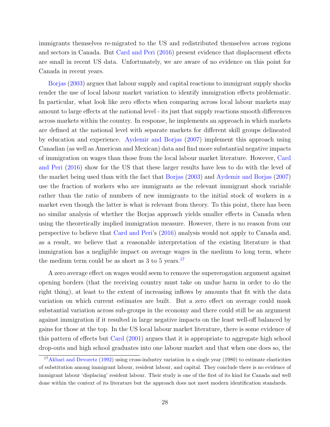immigrants themselves re-migrated to the US and redistributed themselves across regions and sectors in Canada. But [Card and Peri](#page-43-9) [\(2016\)](#page-43-9) present evidence that displacement effects are small in recent US data. Unfortunately, we are aware of no evidence on this point for Canada in recent years.

[Borjas](#page-42-8) [\(2003\)](#page-42-8) argues that labour supply and capital reactions to immigrant supply shocks render the use of local labour market variation to identify immigration effects problematic. In particular, what look like zero effects when comparing across local labour markets may amount to large effects at the national level - its just that supply reactions smooth differences across markets within the country. In response, he implements an approach in which markets are defined at the national level with separate markets for different skill groups delineated by education and experience. [Aydemir and Borjas](#page-41-9) [\(2007\)](#page-41-9) implement this approach using Canadian (as well as American and Mexican) data and find more substantial negative impacts of immigration on wages than those from the local labour market literature. However, [Card](#page-43-9) [and Peri](#page-43-9) [\(2016\)](#page-43-9) show for the US that these larger results have less to do with the level of the market being used than with the fact that [Borjas](#page-42-8) [\(2003\)](#page-42-8) and [Aydemir and Borjas](#page-41-9) [\(2007\)](#page-41-9) use the fraction of workers who are immigrants as the relevant immigrant shock variable rather than the ratio of numbers of new immigrants to the initial stock of workers in a market even though the latter is what is relevant from theory. To this point, there has been no similar analysis of whether the Borjas approach yields smaller effects in Canada when using the theoretically implied immigration measure. However, there is no reason from our perspective to believe that [Card and Peri'](#page-43-9)s [\(2016\)](#page-43-9) analysis would not apply to Canada and, as a result, we believe that a reasonable interpretation of the existing literature is that immigration has a negligible impact on average wages in the medium to long term, where the medium term could be as short as  $3 \text{ to } 5 \text{ years.}^{17}$  $3 \text{ to } 5 \text{ years.}^{17}$  $3 \text{ to } 5 \text{ years.}^{17}$ 

A zero average effect on wages would seem to remove the supererogation argument against opening borders (that the receiving country must take on undue harm in order to do the right thing), at least to the extent of increasing inflows by amounts that fit with the data variation on which current estimates are built. But a zero effect on average could mask substantial variation across sub-groups in the economy and there could still be an argument against immigration if it resulted in large negative impacts on the least well-off balanced by gains for those at the top. In the US local labour market literature, there is some evidence of this pattern of effects but [Card](#page-43-10) [\(2001\)](#page-43-10) argues that it is appropriate to aggregate high school drop-outs and high school graduates into one labour market and that when one does so, the

<span id="page-29-0"></span><sup>&</sup>lt;sup>17</sup>[Akbari and Devoretz](#page-40-4) [\(1992\)](#page-40-4) using cross-industry variation in a single year (1980) to estimate elasticities of substitution among immigrant labour, resident labour, and capital. They conclude there is no evidence of immigrant labour 'displacing' resident labour. Their study is one of the first of its kind for Canada and well done within the context of its literature but the approach does not meet modern identification standards.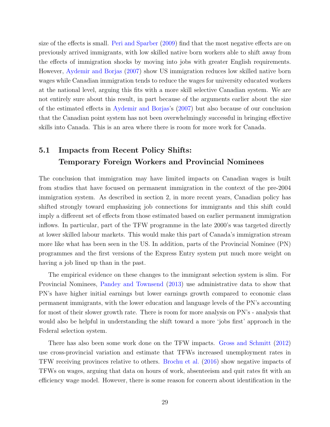size of the effects is small. [Peri and Sparber](#page-47-9) [\(2009\)](#page-47-9) find that the most negative effects are on previously arrived immigrants, with low skilled native born workers able to shift away from the effects of immigration shocks by moving into jobs with greater English requirements. However, [Aydemir and Borjas](#page-41-9) [\(2007\)](#page-41-9) show US immigration reduces low skilled native born wages while Canadian immigration tends to reduce the wages for university educated workers at the national level, arguing this fits with a more skill selective Canadian system. We are not entirely sure about this result, in part because of the arguments earlier about the size of the estimated effects in [Aydemir and Borjas'](#page-41-9)s [\(2007\)](#page-41-9) but also because of our conclusion that the Canadian point system has not been overwhelmingly successful in bringing effective skills into Canada. This is an area where there is room for more work for Canada.

## 5.1 Impacts from Recent Policy Shifts: Temporary Foreign Workers and Provincial Nominees

The conclusion that immigration may have limited impacts on Canadian wages is built from studies that have focused on permanent immigration in the context of the pre-2004 immigration system. As described in section 2, in more recent years, Canadian policy has shifted strongly toward emphasizing job connections for immigrants and this shift could imply a different set of effects from those estimated based on earlier permanent immigration inflows. In particular, part of the TFW programme in the late 2000's was targeted directly at lower skilled labour markets. This would make this part of Canada's immigration stream more like what has been seen in the US. In addition, parts of the Provincial Nominee (PN) programmes and the first versions of the Express Entry system put much more weight on having a job lined up than in the past.

The empirical evidence on these changes to the immigrant selection system is slim. For Provincial Nominees, [Pandey and Townsend](#page-47-10) [\(2013\)](#page-47-10) use administrative data to show that PN's have higher initial earnings but lower earnings growth compared to economic class permanent immigrants, with the lower education and language levels of the PN's accounting for most of their slower growth rate. There is room for more analysis on PN's - analysis that would also be helpful in understanding the shift toward a more 'jobs first' approach in the Federal selection system.

There has also been some work done on the TFW impacts. [Gross and Schmitt](#page-45-9) [\(2012\)](#page-45-9) use cross-provincial variation and estimate that TFWs increased unemployment rates in TFW receiving provinces relative to others. [Brochu et al.](#page-43-11) [\(2016\)](#page-43-11) show negative impacts of TFWs on wages, arguing that data on hours of work, absenteeism and quit rates fit with an efficiency wage model. However, there is some reason for concern about identification in the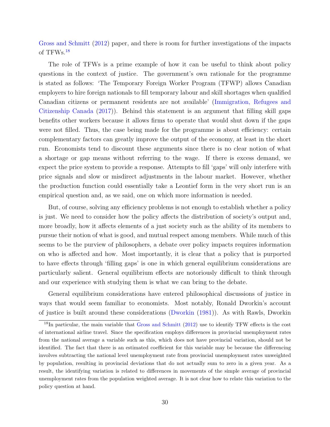[Gross and Schmitt](#page-45-9) [\(2012\)](#page-45-9) paper, and there is room for further investigations of the impacts of TFWs.[18](#page-31-0)

The role of TFWs is a prime example of how it can be useful to think about policy questions in the context of justice. The government's own rationale for the programme is stated as follows: 'The Temporary Foreign Worker Program (TFWP) allows Canadian employers to hire foreign nationals to fill temporary labour and skill shortages when qualified Canadian citizens or permanent residents are not available' [\(Immigration, Refugees and](#page-46-9) [Citizenship Canada](#page-46-9) [\(2017\)](#page-46-9)). Behind this statement is an argument that filling skill gaps benefits other workers because it allows firms to operate that would shut down if the gaps were not filled. Thus, the case being made for the programme is about efficiency: certain complementary factors can greatly improve the output of the economy, at least in the short run. Economists tend to discount these arguments since there is no clear notion of what a shortage or gap means without referring to the wage. If there is excess demand, we expect the price system to provide a response. Attempts to fill 'gaps' will only interfere with price signals and slow or misdirect adjustments in the labour market. However, whether the production function could essentially take a Leontief form in the very short run is an empirical question and, as we said, one on which more information is needed.

But, of course, solving any efficiency problems is not enough to establish whether a policy is just. We need to consider how the policy affects the distribution of society's output and, more broadly, how it affects elements of a just society such as the ability of its members to pursue their notion of what is good, and mutual respect among members. While much of this seems to be the purview of philosophers, a debate over policy impacts requires information on who is affected and how. Most importantly, it is clear that a policy that is purported to have effects through 'filling gaps' is one in which general equilibrium considerations are particularly salient. General equilibrium effects are notoriously difficult to think through and our experience with studying them is what we can bring to the debate.

General equilibrium considerations have entered philosophical discussions of justice in ways that would seem familiar to economists. Most notably, Ronald Dworkin's account of justice is built around these considerations [\(Dworkin](#page-44-9) [\(1981\)](#page-44-9)). As with Rawls, Dworkin

<span id="page-31-0"></span><sup>&</sup>lt;sup>18</sup>In particular, the main variable that [Gross and Schmitt](#page-45-9) [\(2012\)](#page-45-9) use to identify TFW effects is the cost of international airline travel. Since the specification employs differences in provincial unemployment rates from the national average a variable such as this, which does not have provincial variation, should not be identified. The fact that there is an estimated coefficient for this variable may be because the differencing involves subtracting the national level unemployment rate from provincial unemployment rates unweighted by population, resulting in provincial deviations that do not actually sum to zero in a given year. As a result, the identifying variation is related to differences in movements of the simple average of provincial unemployment rates from the population weighted average. It is not clear how to relate this variation to the policy question at hand.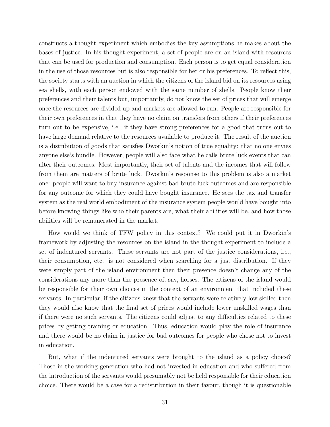constructs a thought experiment which embodies the key assumptions he makes about the bases of justice. In his thought experiment, a set of people are on an island with resources that can be used for production and consumption. Each person is to get equal consideration in the use of those resources but is also responsible for her or his preferences. To reflect this, the society starts with an auction in which the citizens of the island bid on its resources using sea shells, with each person endowed with the same number of shells. People know their preferences and their talents but, importantly, do not know the set of prices that will emerge once the resources are divided up and markets are allowed to run. People are responsible for their own preferences in that they have no claim on transfers from others if their preferences turn out to be expensive, i.e., if they have strong preferences for a good that turns out to have large demand relative to the resources available to produce it. The result of the auction is a distribution of goods that satisfies Dworkin's notion of true equality: that no one envies anyone else's bundle. However, people will also face what he calls brute luck events that can alter their outcomes. Most importantly, their set of talents and the incomes that will follow from them are matters of brute luck. Dworkin's response to this problem is also a market one: people will want to buy insurance against bad brute luck outcomes and are responsible for any outcome for which they could have bought insurance. He sees the tax and transfer system as the real world embodiment of the insurance system people would have bought into before knowing things like who their parents are, what their abilities will be, and how those abilities will be remunerated in the market.

How would we think of TFW policy in this context? We could put it in Dworkin's framework by adjusting the resources on the island in the thought experiment to include a set of indentured servants. These servants are not part of the justice considerations, i.e., their consumption, etc. is not considered when searching for a just distribution. If they were simply part of the island environment then their presence doesn't change any of the considerations any more than the presence of, say, horses. The citizens of the island would be responsible for their own choices in the context of an environment that included these servants. In particular, if the citizens knew that the servants were relatively low skilled then they would also know that the final set of prices would include lower unskilled wages than if there were no such servants. The citizens could adjust to any difficulties related to these prices by getting training or education. Thus, education would play the role of insurance and there would be no claim in justice for bad outcomes for people who chose not to invest in education.

But, what if the indentured servants were brought to the island as a policy choice? Those in the working generation who had not invested in education and who suffered from the introduction of the servants would presumably not be held responsible for their education choice. There would be a case for a redistribution in their favour, though it is questionable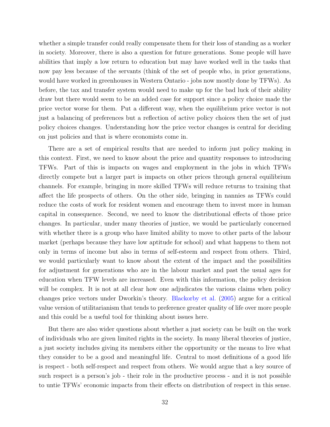whether a simple transfer could really compensate them for their loss of standing as a worker in society. Moreover, there is also a question for future generations. Some people will have abilities that imply a low return to education but may have worked well in the tasks that now pay less because of the servants (think of the set of people who, in prior generations, would have worked in greenhouses in Western Ontario - jobs now mostly done by TFWs). As before, the tax and transfer system would need to make up for the bad luck of their ability draw but there would seem to be an added case for support since a policy choice made the price vector worse for them. Put a different way, when the equilibrium price vector is not just a balancing of preferences but a reflection of active policy choices then the set of just policy choices changes. Understanding how the price vector changes is central for deciding on just policies and that is where economists come in.

There are a set of empirical results that are needed to inform just policy making in this context. First, we need to know about the price and quantity responses to introducing TFWs. Part of this is impacts on wages and employment in the jobs in which TFWs directly compete but a larger part is impacts on other prices through general equilibrium channels. For example, bringing in more skilled TFWs will reduce returns to training that affect the life prospects of others. On the other side, bringing in nannies as TFWs could reduce the costs of work for resident women and encourage them to invest more in human capital in consequence. Second, we need to know the distributional effects of those price changes. In particular, under many theories of justice, we would be particularly concerned with whether there is a group who have limited ability to move to other parts of the labour market (perhaps because they have low aptitude for school) and what happens to them not only in terms of income but also in terms of self-esteem and respect from others. Third, we would particularly want to know about the extent of the impact and the possibilities for adjustment for generations who are in the labour market and past the usual ages for education when TFW levels are increased. Even with this information, the policy decision will be complex. It is not at all clear how one adjudicates the various claims when policy changes price vectors under Dworkin's theory. [Blackorby et al.](#page-42-9) [\(2005\)](#page-42-9) argue for a critical value version of utilitarianism that tends to preference greater quality of life over more people and this could be a useful tool for thinking about issues here.

But there are also wider questions about whether a just society can be built on the work of individuals who are given limited rights in the society. In many liberal theories of justice, a just society includes giving its members either the opportunity or the means to live what they consider to be a good and meaningful life. Central to most definitions of a good life is respect - both self-respect and respect from others. We would argue that a key source of such respect is a person's job - their role in the productive process - and it is not possible to untie TFWs' economic impacts from their effects on distribution of respect in this sense.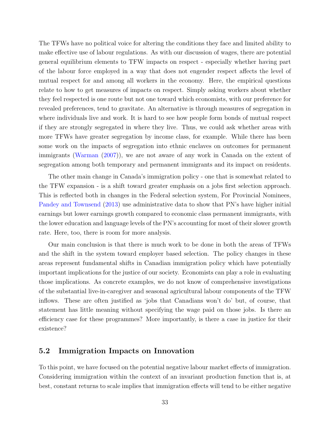The TFWs have no political voice for altering the conditions they face and limited ability to make effective use of labour regulations. As with our discussion of wages, there are potential general equilibrium elements to TFW impacts on respect - especially whether having part of the labour force employed in a way that does not engender respect affects the level of mutual respect for and among all workers in the economy. Here, the empirical questions relate to how to get measures of impacts on respect. Simply asking workers about whether they feel respected is one route but not one toward which economists, with our preference for revealed preferences, tend to gravitate. An alternative is through measures of segregation in where individuals live and work. It is hard to see how people form bonds of mutual respect if they are strongly segregated in where they live. Thus, we could ask whether areas with more TFWs have greater segregation by income class, for example. While there has been some work on the impacts of segregation into ethnic enclaves on outcomes for permanent immigrants [\(Warman](#page-48-11) [\(2007\)](#page-48-11)), we are not aware of any work in Canada on the extent of segregation among both temporary and permanent immigrants and its impact on residents.

The other main change in Canada's immigration policy - one that is somewhat related to the TFW expansion - is a shift toward greater emphasis on a jobs first selection approach. This is reflected both in changes in the Federal selection system, For Provincial Nominees, [Pandey and Townsend](#page-47-10) [\(2013\)](#page-47-10) use administrative data to show that PN's have higher initial earnings but lower earnings growth compared to economic class permanent immigrants, with the lower education and language levels of the PN's accounting for most of their slower growth rate. Here, too, there is room for more analysis.

Our main conclusion is that there is much work to be done in both the areas of TFWs and the shift in the system toward employer based selection. The policy changes in these areas represent fundamental shifts in Canadian immigration policy which have potentially important implications for the justice of our society. Economists can play a role in evaluating those implications. As concrete examples, we do not know of comprehensive investigations of the substantial live-in-caregiver and seasonal agricultural labour components of the TFW inflows. These are often justified as 'jobs that Canadians won't do' but, of course, that statement has little meaning without specifying the wage paid on those jobs. Is there an efficiency case for these programmes? More importantly, is there a case in justice for their existence?

#### 5.2 Immigration Impacts on Innovation

To this point, we have focused on the potential negative labour market effects of immigration. Considering immigration within the context of an invariant production function that is, at best, constant returns to scale implies that immigration effects will tend to be either negative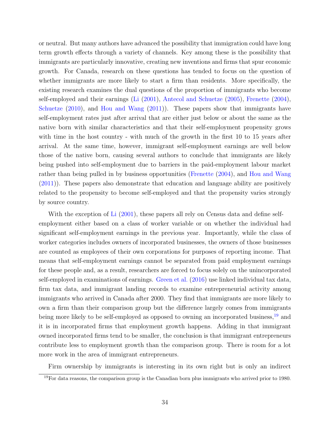or neutral. But many authors have advanced the possibility that immigration could have long term growth effects through a variety of channels. Key among these is the possibility that immigrants are particularly innovative, creating new inventions and firms that spur economic growth. For Canada, research on these questions has tended to focus on the question of whether immigrants are more likely to start a firm than residents. More specifically, the existing research examines the dual questions of the proportion of immigrants who become self-employed and their earnings [\(Li](#page-46-10) [\(2001\)](#page-46-10), [Antecol and Schuetze](#page-41-10) [\(2005\)](#page-41-10), [Frenette](#page-44-10) [\(2004\)](#page-44-10), [Schuetze](#page-48-12) [\(2010\)](#page-48-12), and [Hou and Wang](#page-45-10) [\(2011\)](#page-45-10)). These papers show that immigrants have self-employment rates just after arrival that are either just below or about the same as the native born with similar characteristics and that their self-employment propensity grows with time in the host country - with much of the growth in the first 10 to 15 years after arrival. At the same time, however, immigrant self-employment earnings are well below those of the native born, causing several authors to conclude that immigrants are likely being pushed into self-employment due to barriers in the paid-employment labour market rather than being pulled in by business opportunities [\(Frenette](#page-44-10) [\(2004\)](#page-44-10), and [Hou and Wang](#page-45-10) [\(2011\)](#page-45-10)). These papers also demonstrate that education and language ability are positively related to the propensity to become self-employed and that the propensity varies strongly by source country.

With the exception of [Li](#page-46-10) [\(2001\)](#page-46-10), these papers all rely on Census data and define selfemployment either based on a class of worker variable or on whether the individual had significant self-employment earnings in the previous year. Importantly, while the class of worker categories includes owners of incorporated businesses, the owners of those businesses are counted as employees of their own corporations for purposes of reporting income. That means that self-employment earnings cannot be separated from paid employment earnings for these people and, as a result, researchers are forced to focus solely on the unincorporated self-employed in examinations of earnings. [Green et al.](#page-45-11) [\(2016\)](#page-45-11) use linked individual tax data, firm tax data, and immigrant landing records to examine entrepreneurial activity among immigrants who arrived in Canada after 2000. They find that immigrants are more likely to own a firm than their comparison group but the difference largely comes from immigrants being more likely to be self-employed as opposed to owning an incorporated business,<sup>[19](#page-35-0)</sup> and it is in incorporated firms that employment growth happens. Adding in that immigrant owned incorporated firms tend to be smaller, the conclusion is that immigrant entrepreneurs contribute less to employment growth than the comparison group. There is room for a lot more work in the area of immigrant entrepreneurs.

Firm ownership by immigrants is interesting in its own right but is only an indirect

<span id="page-35-0"></span> $19\,\text{For data reasons, the comparison group is the Canadian born plus impigrants who arrived prior to 1980.}$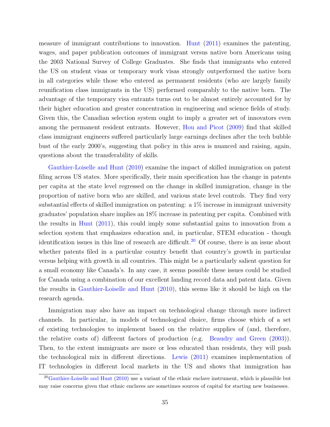measure of immigrant contributions to innovation. [Hunt](#page-46-11) [\(2011\)](#page-46-11) examines the patenting, wages, and paper publication outcomes of immigrant versus native born Americans using the 2003 National Survey of College Graduates. She finds that immigrants who entered the US on student visas or temporary work visas strongly outperformed the native born in all categories while those who entered as permanent residents (who are largely family reunification class immigrants in the US) performed comparably to the native born. The advantage of the temporary visa entrants turns out to be almost entirely accounted for by their higher education and greater concentration in engineering and science fields of study. Given this, the Canadian selection system ought to imply a greater set of innovators even among the permanent resident entrants. However, [Hou and Picot](#page-45-5) [\(2009\)](#page-45-5) find that skilled class immigrant engineers suffered particularly large earnings declines after the tech bubble bust of the early 2000's, suggesting that policy in this area is nuanced and raising, again, questions about the transferability of skills.

[Gauthier-Loiselle and Hunt](#page-44-11) [\(2010\)](#page-44-11) examine the impact of skilled immigration on patent filing across US states. More specifically, their main specification has the change in patents per capita at the state level regressed on the change in skilled immigration, change in the proportion of native born who are skilled, and various state level controls. They find very substantial effects of skilled immigration on patenting: a 1% increase in immigrant university graduates' population share implies an 18% increase in patenting per capita. Combined with the results in [Hunt](#page-46-11) [\(2011\)](#page-46-11), this could imply some substantial gains to innovation from a selection system that emphasizes education and, in particular, STEM education - though identification issues in this line of research are difficult.<sup>[20](#page-36-0)</sup> Of course, there is an issue about whether patents filed in a particular country benefit that country's growth in particular versus helping with growth in all countries. This might be a particularly salient question for a small economy like Canada's. In any case, it seems possible these issues could be studied for Canada using a combination of our excellent landing record data and patent data. Given the results in [Gauthier-Loiselle and Hunt](#page-44-11) [\(2010\)](#page-44-11), this seems like it should be high on the research agenda.

Immigration may also have an impact on technological change through more indirect channels. In particular, in models of technological choice, firms choose which of a set of existing technologies to implement based on the relative supplies of (and, therefore, the relative costs of) different factors of production (e.g. [Beaudry and Green](#page-42-10) [\(2003\)](#page-42-10)). Then, to the extent immigrants are more or less educated than residents, they will push the technological mix in different directions. [Lewis](#page-46-12) [\(2011\)](#page-46-12) examines implementation of IT technologies in different local markets in the US and shows that immigration has

<span id="page-36-0"></span> $^{20}$ [Gauthier-Loiselle and Hunt](#page-44-11) [\(2010\)](#page-44-11) use a variant of the ethnic enclave instrument, which is plausible but may raise concerns given that ethnic enclaves are sometimes sources of capital for starting new businesses.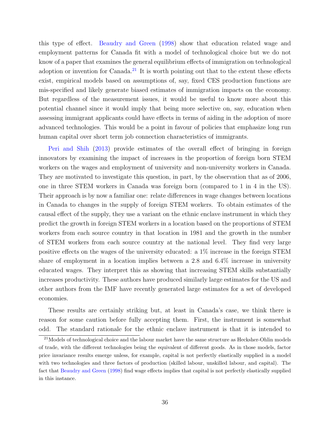this type of effect. [Beaudry and Green](#page-42-11) [\(1998\)](#page-42-11) show that education related wage and employment patterns for Canada fit with a model of technological choice but we do not know of a paper that examines the general equilibrium effects of immigration on technological adoption or invention for Canada.<sup>[21](#page-37-0)</sup> It is worth pointing out that to the extent these effects exist, empirical models based on assumptions of, say, fixed CES production functions are mis-specified and likely generate biased estimates of immigration impacts on the economy. But regardless of the measurement issues, it would be useful to know more about this potential channel since it would imply that being more selective on, say, education when assessing immigrant applicants could have effects in terms of aiding in the adoption of more advanced technologies. This would be a point in favour of policies that emphasize long run human capital over short term job connection characteristics of immigrants.

[Peri and Shih](#page-47-11) [\(2013\)](#page-47-11) provide estimates of the overall effect of bringing in foreign innovators by examining the impact of increases in the proportion of foreign born STEM workers on the wages and employment of university and non-university workers in Canada. They are motivated to investigate this question, in part, by the observation that as of 2006, one in three STEM workers in Canada was foreign born (compared to 1 in 4 in the US). Their approach is by now a familiar one: relate differences in wage changes between locations in Canada to changes in the supply of foreign STEM workers. To obtain estimates of the causal effect of the supply, they use a variant on the ethnic enclave instrument in which they predict the growth in foreign STEM workers in a location based on the proportions of STEM workers from each source country in that location in 1981 and the growth in the number of STEM workers from each source country at the national level. They find very large positive effects on the wages of the university educated: a 1% increase in the foreign STEM share of employment in a location implies between a 2.8 and 6.4% increase in university educated wages. They interpret this as showing that increasing STEM skills substantially increases productivity. These authors have produced similarly large estimates for the US and other authors from the IMF have recently generated large estimates for a set of developed economies.

These results are certainly striking but, at least in Canada's case, we think there is reason for some caution before fully accepting them. First, the instrument is somewhat odd. The standard rationale for the ethnic enclave instrument is that it is intended to

<span id="page-37-0"></span> $21$ Models of technological choice and the labour market have the same structure as Hecksher-Ohlin models of trade, with the different technologies being the equivalent of different goods. As in those models, factor price invariance results emerge unless, for example, capital is not perfectly elastically supplied in a model with two technologies and three factors of production (skilled labour, unskilled labour, and capital). The fact that [Beaudry and Green](#page-42-11) [\(1998\)](#page-42-11) find wage effects implies that capital is not perfectly elastically supplied in this instance.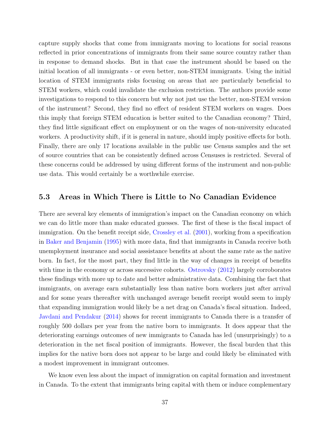capture supply shocks that come from immigrants moving to locations for social reasons reflected in prior concentrations of immigrants from their same source country rather than in response to demand shocks. But in that case the instrument should be based on the initial location of all immigrants - or even better, non-STEM immigrants. Using the initial location of STEM immigrants risks focusing on areas that are particularly beneficial to STEM workers, which could invalidate the exclusion restriction. The authors provide some investigations to respond to this concern but why not just use the better, non-STEM version of the instrument? Second, they find no effect of resident STEM workers on wages. Does this imply that foreign STEM education is better suited to the Canadian economy? Third, they find little significant effect on employment or on the wages of non-university educated workers. A productivity shift, if it is general in nature, should imply positive effects for both. Finally, there are only 17 locations available in the public use Census samples and the set of source countries that can be consistently defined across Censuses is restricted. Several of these concerns could be addressed by using different forms of the instrument and non-public use data. This would certainly be a worthwhile exercise.

#### 5.3 Areas in Which There is Little to No Canadian Evidence

There are several key elements of immigration's impact on the Canadian economy on which we can do little more than make educated guesses. The first of these is the fiscal impact of immigration. On the benefit receipt side, [Crossley et al.](#page-43-12) [\(2001\)](#page-43-12), working from a specification in [Baker and Benjamin](#page-41-11) [\(1995\)](#page-41-11) with more data, find that immigrants in Canada receive both unemployment insurance and social asssistance benefits at about the same rate as the native born. In fact, for the most part, they find little in the way of changes in receipt of benefits with time in the economy or across successive cohorts. [Ostrovsky](#page-47-12) [\(2012\)](#page-47-12) largely corroborates these findings with more up to date and better administrative data. Combining the fact that immigrants, on average earn substantially less than native born workers just after arrival and for some years thereafter with unchanged average benefit receipt would seem to imply that expanding immigration would likely be a net drag on Canada's fiscal situation. Indeed, [Javdani and Pendakur](#page-46-13) [\(2014\)](#page-46-13) shows for recent immigrants to Canada there is a transfer of roughly 500 dollars per year from the native born to immigrants. It does appear that the deteriorating earnings outcomes of new immigrants to Canada has led (unsurprisingly) to a deterioration in the net fiscal position of immigrants. However, the fiscal burden that this implies for the native born does not appear to be large and could likely be eliminated with a modest improvement in immigrant outcomes.

We know even less about the impact of immigration on capital formation and investment in Canada. To the extent that immigrants bring capital with them or induce complementary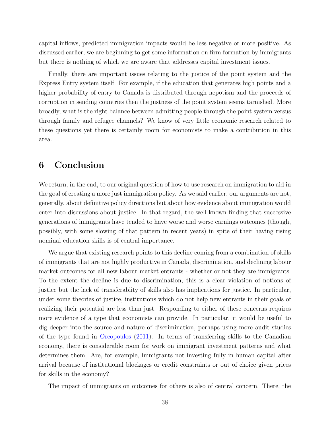capital inflows, predicted immigration impacts would be less negative or more positive. As discussed earlier, we are beginning to get some information on firm formation by immigrants but there is nothing of which we are aware that addresses capital investment issues.

Finally, there are important issues relating to the justice of the point system and the Express Entry system itself. For example, if the education that generates high points and a higher probability of entry to Canada is distributed through nepotism and the proceeds of corruption in sending countries then the justness of the point system seems tarnished. More broadly, what is the right balance between admitting people through the point system versus through family and refugee channels? We know of very little economic research related to these questions yet there is certainly room for economists to make a contribution in this area.

## 6 Conclusion

We return, in the end, to our original question of how to use research on immigration to aid in the goal of creating a more just immigration policy. As we said earlier, our arguments are not, generally, about definitive policy directions but about how evidence about immigration would enter into discussions about justice. In that regard, the well-known finding that successive generations of immigrants have tended to have worse and worse earnings outcomes (though, possibly, with some slowing of that pattern in recent years) in spite of their having rising nominal education skills is of central importance.

We argue that existing research points to this decline coming from a combination of skills of immigrants that are not highly productive in Canada, discrimination, and declining labour market outcomes for all new labour market entrants - whether or not they are immigrants. To the extent the decline is due to discrimination, this is a clear violation of notions of justice but the lack of transferabiity of skills also has implications for justice. In particular, under some theories of justice, institutions which do not help new entrants in their goals of realizing their potential are less than just. Responding to either of these concerns requires more evidence of a type that economists can provide. In particular, it would be useful to dig deeper into the source and nature of discrimination, perhaps using more audit studies of the type found in [Oreopoulos](#page-47-7) [\(2011\)](#page-47-7). In terms of transferring skills to the Canadian economy, there is considerable room for work on immigrant investment patterns and what determines them. Are, for example, immigrants not investing fully in human capital after arrival because of institutional blockages or credit constraints or out of choice given prices for skills in the economy?

The impact of immigrants on outcomes for others is also of central concern. There, the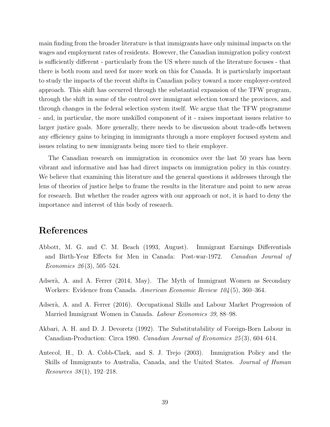main finding from the broader literature is that immigrants have only minimal impacts on the wages and employment rates of residents. However, the Canadian immigration policy context is sufficiently different - particularly from the US where much of the literature focuses - that there is both room and need for more work on this for Canada. It is particularly important to study the impacts of the recent shifts in Canadian policy toward a more employer-centred approach. This shift has occurred through the substantial expansion of the TFW program, through the shift in some of the control over immigrant selection toward the provinces, and through changes in the federal selection system itself. We argue that the TFW programme - and, in particular, the more unskilled component of it - raises important issues relative to larger justice goals. More generally, there needs to be discussion about trade-offs between any efficiency gains to bringing in immigrants through a more employer focused system and issues relating to new immigrants being more tied to their employer.

The Canadian research on immigration in economics over the last 50 years has been vibrant and informative and has had direct impacts on immigration policy in this country. We believe that examining this literature and the general questions it addresses through the lens of theories of justice helps to frame the results in the literature and point to new areas for research. But whether the reader agrees with our approach or not, it is hard to deny the importance and interest of this body of research.

### References

- <span id="page-40-0"></span>Abbott, M. G. and C. M. Beach (1993, August). Immigrant Earnings Differentials and Birth-Year Effects for Men in Canada: Post-war-1972. Canadian Journal of Economics 26(3), 505–524.
- <span id="page-40-1"></span>Adserà, A. and A. Ferrer (2014, May). The Myth of Immigrant Women as Secondary Workers: Evidence from Canada. American Economic Review 104 (5), 360–364.
- <span id="page-40-2"></span>Adserà, A. and A. Ferrer (2016). Occupational Skills and Labour Market Progression of Married Immigrant Women in Canada. Labour Economics 39, 88–98.
- <span id="page-40-4"></span>Akbari, A. H. and D. J. Devoretz (1992). The Substitutability of Foreign-Born Labour in Canadian-Production: Circa 1980. Canadian Journal of Economics 25 (3), 604–614.
- <span id="page-40-3"></span>Antecol, H., D. A. Cobb-Clark, and S. J. Trejo (2003). Immigration Policy and the Skills of Immigrants to Australia, Canada, and the United States. Journal of Human *Resources*  $38(1)$ , 192–218.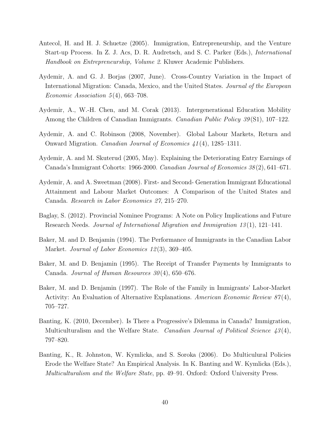- <span id="page-41-10"></span>Antecol, H. and H. J. Schuetze (2005). Immigration, Entrepreneurship, and the Venture Start-up Process. In Z. J. Acs, D. R. Audretsch, and S. C. Parker (Eds.), International Handbook on Entrepreneurship, Volume 2. Kluwer Academic Publishers.
- <span id="page-41-9"></span>Aydemir, A. and G. J. Borjas (2007, June). Cross-Country Variation in the Impact of International Migration: Canada, Mexico, and the United States. Journal of the European Economic Association  $5(4)$ , 663–708.
- <span id="page-41-7"></span>Aydemir, A., W.-H. Chen, and M. Corak (2013). Intergenerational Education Mobility Among the Children of Canadian Immigrants. Canadian Public Policy 39(S1), 107–122.
- <span id="page-41-5"></span>Aydemir, A. and C. Robinson (2008, November). Global Labour Markets, Return and Onward Migration. Canadian Journal of Economics 41 (4), 1285–1311.
- <span id="page-41-4"></span>Aydemir, A. and M. Skuterud (2005, May). Explaining the Deteriorating Entry Earnings of Canada's Immigrant Cohorts: 1966-2000. Canadian Journal of Economics 38 (2), 641–671.
- <span id="page-41-8"></span>Aydemir, A. and A. Sweetman (2008). First- and Second- Generation Immigrant Educational Attainment and Labour Market Outcomes: A Comparison of the United States and Canada. Research in Labor Economics 27, 215–270.
- <span id="page-41-0"></span>Baglay, S. (2012). Provincial Nominee Programs: A Note on Policy Implications and Future Research Needs. Journal of International Migration and Immigration 13 (1), 121–141.
- <span id="page-41-3"></span>Baker, M. and D. Benjamin (1994). The Performance of Immigrants in the Canadian Labor Market. Journal of Labor Economics 12(3), 369–405.
- <span id="page-41-11"></span>Baker, M. and D. Benjamin (1995). The Receipt of Transfer Payments by Immigrants to Canada. Journal of Human Resources  $30(4)$ , 650–676.
- <span id="page-41-6"></span>Baker, M. and D. Benjamin (1997). The Role of the Family in Immigrants' Labor-Market Activity: An Evaluation of Alternative Explanations. American Economic Review 87 (4), 705–727.
- <span id="page-41-1"></span>Banting, K. (2010, December). Is There a Progressive's Dilemma in Canada? Immigration, Multiculturalism and the Welfare State. Canadian Journal of Political Science  $43(4)$ , 797–820.
- <span id="page-41-2"></span>Banting, K., R. Johnston, W. Kymlicka, and S. Soroka (2006). Do Multiculural Policies Erode the Welfare State? An Empirical Analysis. In K. Banting and W. Kymlicka (Eds.), Multiculturalism and the Welfare State, pp. 49–91. Oxford: Oxford University Press.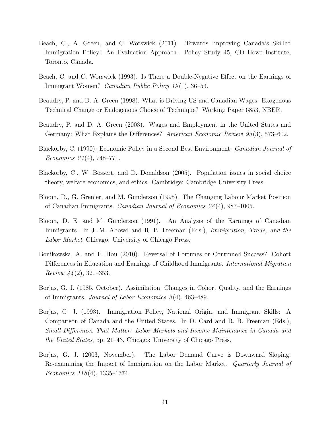- <span id="page-42-0"></span>Beach, C., A. Green, and C. Worswick (2011). Towards Improving Canada's Skilled Immigration Policy: An Evaluation Approach. Policy Study 45, CD Howe Institute, Toronto, Canada.
- <span id="page-42-5"></span>Beach, C. and C. Worswick (1993). Is There a Double-Negative Effect on the Earnings of Immigrant Women? Canadian Public Policy 19 (1), 36–53.
- <span id="page-42-11"></span>Beaudry, P. and D. A. Green (1998). What is Driving US and Canadian Wages: Exogenous Technical Change or Endogenous Choice of Technique? Working Paper 6853, NBER.
- <span id="page-42-10"></span>Beaudry, P. and D. A. Green (2003). Wages and Employment in the United States and Germany: What Explains the Differences? American Economic Review 93(3), 573–602.
- <span id="page-42-1"></span>Blackorby, C. (1990). Economic Policy in a Second Best Environment. Canadian Journal of Economics 23 (4), 748–771.
- <span id="page-42-9"></span>Blackorby, C., W. Bossert, and D. Donaldson (2005). Population issues in social choice theory, welfare economics, and ethics. Cambridge: Cambridge University Press.
- <span id="page-42-4"></span>Bloom, D., G. Grenier, and M. Gunderson (1995). The Changing Labour Market Position of Canadian Immigrants. Canadian Journal of Economics 28 (4), 987–1005.
- <span id="page-42-3"></span>Bloom, D. E. and M. Gunderson (1991). An Analysis of the Earnings of Canadian Immigrants. In J. M. Abowd and R. B. Freeman (Eds.), *Immigration, Trade, and the* Labor Market. Chicago: University of Chicago Press.
- <span id="page-42-7"></span>Bonikowska, A. and F. Hou (2010). Reversal of Fortunes or Continued Success? Cohort Differences in Education and Earnings of Childhood Immigrants. International Migration Review  $44(2)$ , 320–353.
- <span id="page-42-2"></span>Borjas, G. J. (1985, October). Assimilation, Changes in Cohort Quality, and the Earnings of Immigrants. Journal of Labor Economics 3 (4), 463–489.
- <span id="page-42-6"></span>Borjas, G. J. (1993). Immigration Policy, National Origin, and Immigrant Skills: A Comparison of Canada and the United States. In D. Card and R. B. Freeman (Eds.), Small Differences That Matter: Labor Markets and Income Maintenance in Canada and the United States, pp. 21–43. Chicago: University of Chicago Press.
- <span id="page-42-8"></span>Borjas, G. J. (2003, November). The Labor Demand Curve is Downward Sloping: Re-examining the Impact of Immigration on the Labor Market. Quarterly Journal of Economics 118 (4), 1335–1374.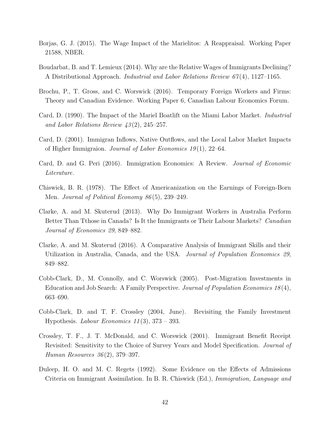- <span id="page-43-8"></span>Borjas, G. J. (2015). The Wage Impact of the Marielitos: A Reappraisal. Working Paper 21588, NBER.
- <span id="page-43-1"></span>Boudarbat, B. and T. Lemieux (2014). Why are the Relative Wages of Immigrants Declining? A Distributional Approach. *Industrial and Labor Relations Review 67*(4), 1127–1165.
- <span id="page-43-11"></span>Brochu, P., T. Gross, and C. Worswick (2016). Temporary Foreign Workers and Firms: Theory and Canadian Evidence. Working Paper 6, Canadian Labour Economics Forum.
- <span id="page-43-7"></span>Card, D. (1990). The Impact of the Mariel Boatlift on the Miami Labor Market. Industrial and Labor Relations Review 43 (2), 245–257.
- <span id="page-43-10"></span>Card, D. (2001). Immigran Inflows, Native Outflows, and the Local Labor Market Impacts of Higher Immigraion. Journal of Labor Economics 19 (1), 22–64.
- <span id="page-43-9"></span>Card, D. and G. Peri (2016). Immigration Economics: A Review. Journal of Economic Literature.
- <span id="page-43-0"></span>Chiswick, B. R. (1978). The Effect of Americanization on the Earnings of Foreign-Born Men. Journal of Political Economy 86(5), 239–249.
- <span id="page-43-2"></span>Clarke, A. and M. Skuterud (2013). Why Do Immigrant Workers in Australia Perform Better Than Tthose in Canada? Is It the Immigrants or Their Labour Markets? Canadian Journal of Economics 29, 849–882.
- <span id="page-43-6"></span>Clarke, A. and M. Skuterud (2016). A Comparative Analysis of Immigrant Skills and their Utilization in Australia, Canada, and the USA. Journal of Population Economics 29, 849–882.
- <span id="page-43-4"></span>Cobb-Clark, D., M. Connolly, and C. Worswick (2005). Post-Migration Investments in Education and Job Search: A Family Perspective. Journal of Population Economics 18 (4), 663–690.
- <span id="page-43-3"></span>Cobb-Clark, D. and T. F. Crossley (2004, June). Revisiting the Family Investment Hypothesis. Labour Economics  $11(3)$ ,  $373-393$ .
- <span id="page-43-12"></span>Crossley, T. F., J. T. McDonald, and C. Worswick (2001). Immigrant Benefit Receipt Revisited: Sensitivity to the Choice of Survey Years and Model Specification. Journal of Human Resources 36 (2), 379–397.
- <span id="page-43-5"></span>Duleep, H. O. and M. C. Regets (1992). Some Evidence on the Effects of Admissions Criteria on Immigrant Assimilation. In B. R. Chiswick (Ed.), Immigration, Language and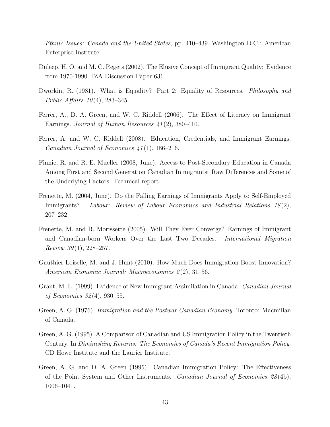Ethnic Issues: Canada and the United States, pp. 410–439. Washington D.C.: American Enterprise Institute.

- <span id="page-44-3"></span>Duleep, H. O. and M. C. Regets (2002). The Elusive Concept of Immigrant Quality: Evidence from 1970-1990. IZA Discussion Paper 631.
- <span id="page-44-9"></span>Dworkin, R. (1981). What is Equality? Part 2: Equality of Resources. Philosophy and Public Affairs  $10(4)$ , 283-345.
- <span id="page-44-7"></span>Ferrer, A., D. A. Green, and W. C. Riddell (2006). The Effect of Literacy on Immigrant Earnings. Journal of Human Resources  $41(2)$ , 380-410.
- <span id="page-44-6"></span>Ferrer, A. and W. C. Riddell (2008). Education, Credentials, and Immigrant Earnings. Canadian Journal of Economics  $41(1)$ , 186-216.
- <span id="page-44-8"></span>Finnie, R. and R. E. Mueller (2008, June). Access to Post-Secondary Education in Canada Among First and Second Generation Canadian Immigrants: Raw Differences and Some of the Underlying Factors. Technical report.
- <span id="page-44-10"></span>Frenette, M. (2004, June). Do the Falling Earnings of Immigrants Apply to Self-Employed Immigrants? Labour: Review of Labour Economics and Industrial Relations 18(2), 207–232.
- <span id="page-44-5"></span>Frenette, M. and R. Morissette (2005). Will They Ever Converge? Earnings of Immigrant and Canadian-born Workers Over the Last Two Decades. International Migration Review  $39(1)$ , 228–257.
- <span id="page-44-11"></span>Gauthier-Loiselle, M. and J. Hunt (2010). How Much Does Immigration Boost Innovation? American Economic Journal: Macroeconomics 2(2), 31–56.
- <span id="page-44-4"></span>Grant, M. L. (1999). Evidence of New Immigrant Assimilation in Canada. Canadian Journal of Economics 32 (4), 930–55.
- <span id="page-44-0"></span>Green, A. G. (1976). Immigration and the Postwar Canadian Economy. Toronto: Macmillan of Canada.
- <span id="page-44-1"></span>Green, A. G. (1995). A Comparison of Canadian and US Immigration Policy in the Twentieth Century. In Diminishing Returns: The Economics of Canada's Recent Immigration Policy. CD Howe Institute and the Laurier Institute.
- <span id="page-44-2"></span>Green, A. G. and D. A. Green (1995). Canadian Immigration Policy: The Effectiveness of the Point System and Other Instruments. Canadian Journal of Economics 28 (4b), 1006–1041.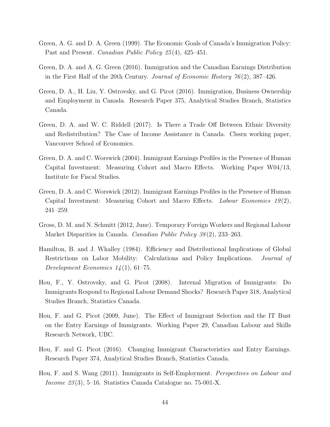- <span id="page-45-0"></span>Green, A. G. and D. A. Green (1999). The Economic Goals of Canada's Immigration Policy: Past and Present. Canadian Public Policy 25 (4), 425–451.
- <span id="page-45-8"></span>Green, D. A. and A. G. Green (2016). Immigration and the Canadian Earnings Distribution in the First Half of the 20th Century. Journal of Economic History  $76(2)$ , 387–426.
- <span id="page-45-11"></span>Green, D. A., H. Liu, Y. Ostrovsky, and G. Picot (2016). Immigration, Business Ownership and Employment in Canada. Research Paper 375, Analytical Studies Branch, Statistics Canada.
- <span id="page-45-2"></span>Green, D. A. and W. C. Riddell (2017). Is There a Trade Off Between Ethnic Diversity and Redistribution? The Case of Income Assistance in Canada. Clssrn working paper, Vancouver School of Economics.
- <span id="page-45-1"></span>Green, D. A. and C. Worswick (2004). Immigrant Earnings Profiles in the Presence of Human Capital Investment: Measuring Cohort and Macro Effects. Working Paper W04/13, Institute for Fiscal Studies.
- <span id="page-45-3"></span>Green, D. A. and C. Worswick (2012). Immigrant Earnings Profiles in the Presence of Human Capital Investment: Measuring Cohort and Macro Effects. *Labour Economics* 19 $(2)$ , 241–259.
- <span id="page-45-9"></span>Gross, D. M. and N. Schmitt (2012, June). Temporary Foreign Workers and Regional Labour Market Disparities in Canada. *Canadian Public Policy 38*(2), 233–263.
- <span id="page-45-7"></span>Hamilton, B. and J. Whalley (1984). Efficiency and Distributional Implications of Global Restrictions on Labor Mobility: Calculations and Policy Implications. Journal of Development Economics  $14(1)$ , 61–75.
- <span id="page-45-6"></span>Hou, F., Y. Ostrovsky, and G. Picot (2008). Internal Migration of Immigrants: Do Immigrants Respond to Regional Labour Demand Shocks? Research Paper 318, Analytical Studies Branch, Statistics Canada.
- <span id="page-45-5"></span>Hou, F. and G. Picot (2009, June). The Effect of Immigrant Selection and the IT Bust on the Entry Earnings of Immigrants. Working Paper 29, Canadian Labour and Skills Research Network, UBC.
- <span id="page-45-4"></span>Hou, F. and G. Picot (2016). Changing Immigrant Characteristics and Entry Earnings. Research Paper 374, Analytical Studies Branch, Statistics Canada.
- <span id="page-45-10"></span>Hou, F. and S. Wang (2011). Immigrants in Self-Employment. Perspectives on Labour and Income  $23(3)$ , 5–16. Statistics Canada Catalogue no. 75-001-X.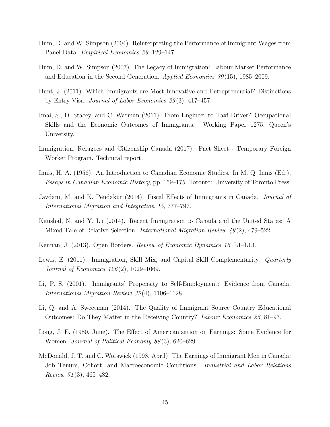- <span id="page-46-1"></span>Hum, D. and W. Simpson (2004). Reinterpreting the Performance of Immigrant Wages from Panel Data. Empirical Economics 29, 129–147.
- <span id="page-46-7"></span>Hum, D. and W. Simpson (2007). The Legacy of Immigration: Labour Market Performance and Education in the Second Generation. Applied Economics 39 (15), 1985–2009.
- <span id="page-46-11"></span>Hunt, J. (2011). Which Immigrants are Most Innovative and Entrepreneurial? Distinctions by Entry Visa. Journal of Labor Economics 29 (3), 417–457.
- <span id="page-46-5"></span>Imai, S., D. Stacey, and C. Warman (2011). From Engineer to Taxi Driver? Occupational Skills and the Economic Outcomes of Immigrants. Working Paper 1275, Queen's University.
- <span id="page-46-9"></span>Immigration, Refugees and Citizenship Canada (2017). Fact Sheet - Temporary Foreign Worker Program. Technical report.
- <span id="page-46-0"></span>Innis, H. A. (1956). An Introduction to Canadian Economic Studies. In M. Q. Innis (Ed.), Essays in Canadian Economic History, pp. 159–175. Toronto: University of Toronto Press.
- <span id="page-46-13"></span>Javdani, M. and K. Pendakur (2014). Fiscal Effects of Immigrants in Canada. Journal of International Migration and Integration 15, 777–797.
- <span id="page-46-6"></span>Kaushal, N. and Y. Lu (2014). Recent Immigration to Canada and the United States: A Mixed Tale of Relative Selection. *International Migration Review 49(2)*, 479–522.
- <span id="page-46-8"></span>Kennan, J. (2013). Open Borders. Review of Economic Dynamics 16, L1–L13.
- <span id="page-46-12"></span>Lewis, E. (2011). Immigration, Skill Mix, and Capital Skill Complementarity. *Quarterly* Journal of Economics 126 (2), 1029–1069.
- <span id="page-46-10"></span>Li, P. S. (2001). Immigrants' Propensity to Self-Employment: Evidence from Canada. International Migration Review 35 (4), 1106–1128.
- <span id="page-46-3"></span>Li, Q. and A. Sweetman (2014). The Quality of Immigrant Source Country Educational Outcomes: Do They Matter in the Receiving Country? Labour Economics 26, 81–93.
- <span id="page-46-4"></span>Long, J. E. (1980, June). The Effect of Americanization on Earnings: Some Evidence for Women. Journal of Political Economy 88 (3), 620–629.
- <span id="page-46-2"></span>McDonald, J. T. and C. Worswick (1998, April). The Earnings of Immigrant Men in Canada: Job Tenure, Cohort, and Macroeconomic Conditions. Industrial and Labor Relations Review 51(3), 465–482.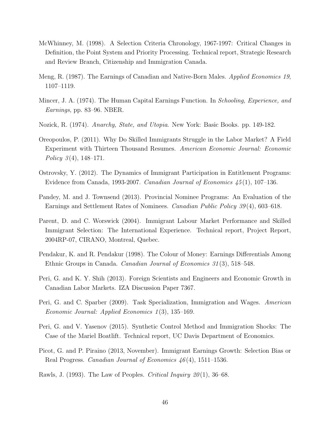- McWhinney, M. (1998). A Selection Criteria Chronology, 1967-1997: Critical Changes in Definition, the Point System and Priority Processing. Technical report, Strategic Research and Review Branch, Citizenship and Immigration Canada.
- <span id="page-47-4"></span>Meng, R. (1987). The Earnings of Canadian and Native-Born Males. Applied Economics 19, 1107–1119.
- <span id="page-47-3"></span>Mincer, J. A. (1974). The Human Capital Earnings Function. In Schooling, Experience, and Earnings, pp. 83–96. NBER.
- <span id="page-47-1"></span>Nozick, R. (1974). Anarchy, State, and Utopia. New York: Basic Books. pp. 149-182.
- <span id="page-47-7"></span>Oreopoulos, P. (2011). Why Do Skilled Immigrants Struggle in the Labor Market? A Field Experiment with Thirteen Thousand Resumes. American Economic Journal: Economic Policy  $3(4)$ , 148-171.
- <span id="page-47-12"></span>Ostrovsky, Y. (2012). The Dynamics of Immigrant Participation in Entitlement Programs: Evidence from Canada, 1993-2007. Canadian Journal of Economics 45 (1), 107–136.
- <span id="page-47-10"></span>Pandey, M. and J. Townsend (2013). Provincial Nominee Programs: An Evaluation of the Earnings and Settlement Rates of Nominees. Canadian Public Policy 39 (4), 603–618.
- <span id="page-47-0"></span>Parent, D. and C. Worswick (2004). Immigrant Labour Market Performance and Skilled Immigrant Selection: The International Experience. Technical report, Project Report, 2004RP-07, CIRANO, Montreal, Quebec.
- <span id="page-47-6"></span>Pendakur, K. and R. Pendakur (1998). The Colour of Money: Earnings Differentials Among Ethnic Groups in Canada. Canadian Journal of Economics 31 (3), 518–548.
- <span id="page-47-11"></span>Peri, G. and K. Y. Shih (2013). Foreign Scientists and Engineers and Economic Growth in Canadian Labor Markets. IZA Discussion Paper 7367.
- <span id="page-47-9"></span>Peri, G. and C. Sparber (2009). Task Specialization, Immigration and Wages. American Economic Journal: Applied Economics 1 (3), 135–169.
- <span id="page-47-8"></span>Peri, G. and V. Yasenov (2015). Synthetic Control Method and Immigration Shocks: The Case of the Mariel Boatlift. Technical report, UC Davis Department of Economics.
- <span id="page-47-5"></span>Picot, G. and P. Piraino (2013, November). Immigrant Earnings Growth: Selection Bias or Real Progress. Canadian Journal of Economics 46 (4), 1511–1536.
- <span id="page-47-2"></span>Rawls, J. (1993). The Law of Peoples. Critical Inquiry  $20(1)$ , 36–68.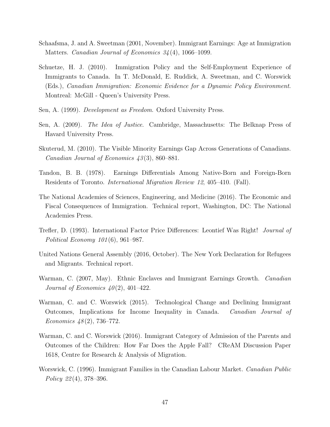- <span id="page-48-4"></span>Schaafsma, J. and A. Sweetman (2001, November). Immigrant Earnings: Age at Immigration Matters. Canadian Journal of Economics 34 (4), 1066–1099.
- <span id="page-48-12"></span>Schuetze, H. J. (2010). Immigration Policy and the Self-Employment Experience of Immigrants to Canada. In T. McDonald, E. Ruddick, A. Sweetman, and C. Worswick (Eds.), Canadian Immigration: Economic Evidence for a Dynamic Policy Environment. Montreal: McGill - Queen's University Press.
- <span id="page-48-7"></span>Sen, A. (1999). Development as Freedom. Oxford University Press.
- <span id="page-48-0"></span>Sen, A. (2009). The Idea of Justice. Cambridge, Massachusetts: The Belknap Press of Havard University Press.
- <span id="page-48-5"></span>Skuterud, M. (2010). The Visible Minority Earnings Gap Across Generations of Canadians. Canadian Journal of Economics  $43(3)$ , 860–881.
- <span id="page-48-2"></span>Tandon, B. B. (1978). Earnings Differentials Among Native-Born and Foreign-Born Residents of Toronto. International Migration Review 12, 405–410. (Fall).
- <span id="page-48-10"></span>The National Academies of Sciences, Engineering, and Medicine (2016). The Economic and Fiscal Consequences of Immigration. Technical report, Washington, DC: The National Academies Press.
- <span id="page-48-9"></span>Trefler, D. (1993). International Factor Price Differences: Leontief Was Right! Journal of Political Economy 101 (6), 961–987.
- <span id="page-48-1"></span>United Nations General Assembly (2016, October). The New York Declaration for Refugees and Migrants. Technical report.
- <span id="page-48-11"></span>Warman, C. (2007, May). Ethnic Enclaves and Immigrant Earnings Growth. *Canadian* Journal of Economics  $40(2)$ , 401–422.
- <span id="page-48-3"></span>Warman, C. and C. Worswick (2015). Technological Change and Declining Immigrant Outcomes, Implications for Income Inequality in Canada. Canadian Journal of Economics  $48(2)$ , 736–772.
- <span id="page-48-8"></span>Warman, C. and C. Worswick (2016). Immigrant Category of Admission of the Parents and Outcomes of the Children: How Far Does the Apple Fall? CReAM Discussion Paper 1618, Centre for Research & Analysis of Migration.
- <span id="page-48-6"></span>Worswick, C. (1996). Immigrant Families in the Canadian Labour Market. *Canadian Public* Policy 22(4), 378–396.